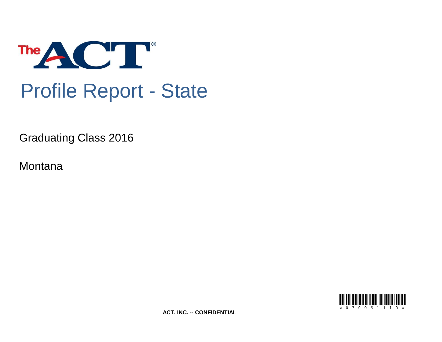

Graduating Class 2016

**Montana** 



**ACT, INC. -- CONFIDENTIAL**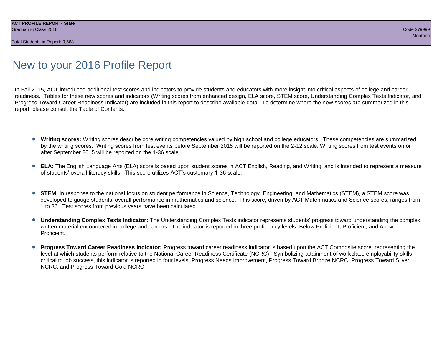# New to your 2016 Profile Report

In Fall 2015, ACT introduced additional test scores and indicators to provide students and educators with more insight into critical aspects of college and career readiness. Tables for these new scores and indicators (Writing scores from enhanced design, ELA score, STEM score, Understanding Complex Texts Indicator, and Progress Toward Career Readiness Indicator) are included in this report to describe available data. To determine where the new scores are summarized in this report, please consult the Table of Contents.

- **Writing scores:** Writing scores describe core writing competencies valued by high school and college educators. These competencies are summarized by the writing scores. Writing scores from test events before September 2015 will be reported on the 2-12 scale. Writing scores from test events on or after September 2015 will be reported on the 1-36 scale.
- **ELA:** The English Language Arts (ELA) score is based upon student scores in ACT English, Reading, and Writing, and is intended to represent a measure of students' overall literacy skills. This score utilizes ACT's customary 1-36 scale.
- **STEM:** In response to the national focus on student performance in Science, Technology, Engineering, and Mathematics (STEM), a STEM score was developed to gauge students' overall performance in mathematics and science. This score, driven by ACT Matehmatics and Science scores, ranges from 1 to 36. Test scores from previous years have been calculated.
- **Understanding Complex Texts Indicator:** The Understanding Complex Texts indicator represents students' progress toward understanding the complex written material encountered in college and careers. The indicator is reported in three proficiency levels: Below Proficient, Proficient, and Above Proficient.
- **Progress Toward Career Readiness Indicator:** Progress toward career readiness indicator is based upon the ACT Composite score, representing the level at which students perform relative to the National Career Readiness Certificate (NCRC). Symbolizing attainment of workplace employability skills critical to job success, this indicator is reported in four levels: Progress Needs Improvement, Progress Toward Bronze NCRC, Progress Toward Silver NCRC, and Progress Toward Gold NCRC.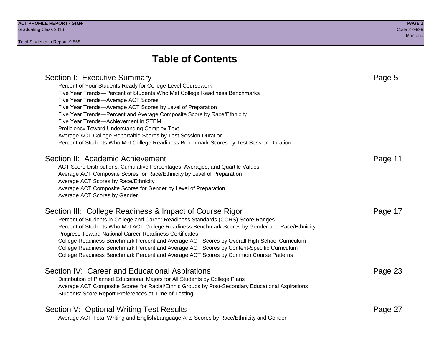| <b>ACT PROFILE REPORT - State</b> | <b>PAGE</b> |
|-----------------------------------|-------------|
| Graduating Class 2016             | Code 279999 |

# **Table of Contents**

| Section I: Executive Summary<br>Percent of Your Students Ready for College-Level Coursework<br>Five Year Trends-Percent of Students Who Met College Readiness Benchmarks<br>Five Year Trends-Average ACT Scores<br>Five Year Trends-Average ACT Scores by Level of Preparation<br>Five Year Trends-Percent and Average Composite Score by Race/Ethnicity<br>Five Year Trends-Achievement in STEM<br>Proficiency Toward Understanding Complex Text<br>Average ACT College Reportable Scores by Test Session Duration<br>Percent of Students Who Met College Readiness Benchmark Scores by Test Session Duration | Page 5  |
|----------------------------------------------------------------------------------------------------------------------------------------------------------------------------------------------------------------------------------------------------------------------------------------------------------------------------------------------------------------------------------------------------------------------------------------------------------------------------------------------------------------------------------------------------------------------------------------------------------------|---------|
| Section II: Academic Achievement<br>ACT Score Distributions, Cumulative Percentages, Averages, and Quartile Values<br>Average ACT Composite Scores for Race/Ethnicity by Level of Preparation<br>Average ACT Scores by Race/Ethnicity<br>Average ACT Composite Scores for Gender by Level of Preparation<br>Average ACT Scores by Gender                                                                                                                                                                                                                                                                       | Page 11 |
| Section III: College Readiness & Impact of Course Rigor<br>Percent of Students in College and Career Readiness Standards (CCRS) Score Ranges<br>Percent of Students Who Met ACT College Readiness Benchmark Scores by Gender and Race/Ethnicity<br>Progress Toward National Career Readiness Certificates<br>College Readiness Benchmark Percent and Average ACT Scores by Overall High School Curriculum<br>College Readiness Benchmark Percent and Average ACT Scores by Content-Specific Curriculum<br>College Readiness Benchmark Percent and Average ACT Scores by Common Course Patterns                 | Page 17 |
| Section IV: Career and Educational Aspirations<br>Distribution of Planned Educational Majors for All Students by College Plans<br>Average ACT Composite Scores for Racial/Ethnic Groups by Post-Secondary Educational Aspirations<br>Students' Score Report Preferences at Time of Testing                                                                                                                                                                                                                                                                                                                     | Page 23 |
| Section V: Optional Writing Test Results<br>Average ACT Total Writing and English/Language Arts Scores by Race/Ethnicity and Gender                                                                                                                                                                                                                                                                                                                                                                                                                                                                            | Page 27 |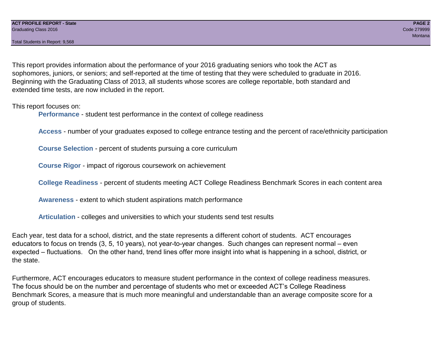#### Total Students in Report: 9,568

This report provides information about the performance of your 2016 graduating seniors who took the ACT as sophomores, juniors, or seniors; and self-reported at the time of testing that they were scheduled to graduate in 2016. Beginning with the Graduating Class of 2013, all students whose scores are college reportable, both standard and extended time tests, are now included in the report.

This report focuses on:

**Performance** - student test performance in the context of college readiness

**Access** - number of your graduates exposed to college entrance testing and the percent of race/ethnicity participation

**Course Selection** - percent of students pursuing a core curriculum

**Course Rigor** - impact of rigorous coursework on achievement

**College Readiness** - percent of students meeting ACT College Readiness Benchmark Scores in each content area

**Awareness** - extent to which student aspirations match performance

**Articulation** - colleges and universities to which your students send test results

Each year, test data for a school, district, and the state represents a different cohort of students. ACT encourages educators to focus on trends (3, 5, 10 years), not year-to-year changes. Such changes can represent normal – even expected – fluctuations. On the other hand, trend lines offer more insight into what is happening in a school, district, or the state.

Furthermore, ACT encourages educators to measure student performance in the context of college readiness measures. The focus should be on the number and percentage of students who met or exceeded ACT's College Readiness Benchmark Scores, a measure that is much more meaningful and understandable than an average composite score for a group of students.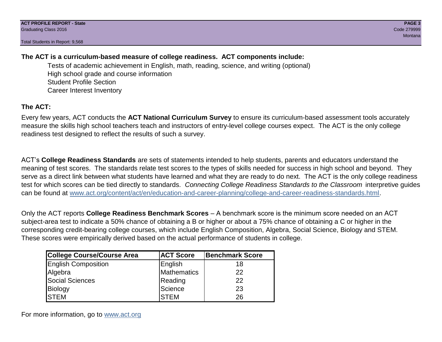Total Students in Report: 9,568

# **The ACT is a curriculum-based measure of college readiness. ACT components include:**

Tests of academic achievement in English, math, reading, science, and writing (optional) High school grade and course information Student Profile Section Career Interest Inventory

# **The ACT:**

Every few years, ACT conducts the **ACT National Curriculum Survey** to ensure its curriculum-based assessment tools accurately measure the skills high school teachers teach and instructors of entry-level college courses expect. The ACT is the only college readiness test designed to reflect the results of such a survey.

ACT's **College Readiness Standards** are sets of statements intended to help students, parents and educators understand the meaning of test scores. The standards relate test scores to the types of skills needed for success in high school and beyond. They serve as a direct link between what students have learned and what they are ready to do next. The ACT is the only college readiness test for which scores can be tied directly to standards. *Connecting College Readiness Standards to the Classroom* interpretive guides can be found at www.act.org/content/act/en/education-and-career-planning/college-and-career-readiness-standards.html.

Only the ACT reports **College Readiness Benchmark Scores** – A benchmark score is the minimum score needed on an ACT subject-area test to indicate a 50% chance of obtaining a B or higher or about a 75% chance of obtaining a C or higher in the corresponding credit-bearing college courses, which include English Composition, Algebra, Social Science, Biology and STEM. These scores were empirically derived based on the actual performance of students in college.

| <b>College Course/Course Area</b> | <b>ACT Score</b> | <b>Benchmark Score</b> |
|-----------------------------------|------------------|------------------------|
| <b>English Composition</b>        | English          | 18                     |
| Algebra                           | Mathematics      | 22                     |
| <b>Social Sciences</b>            | Reading          | 22                     |
| Biology                           | Science          | 23                     |
| <b>STEM</b>                       | <b>STEM</b>      | 26                     |

For more information, go to www.act.org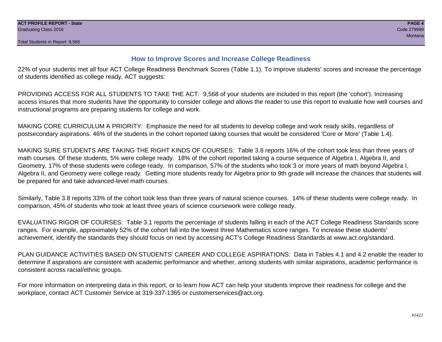# **How to Improve Scores and Increase College Readiness**

22% of your students met all four ACT College Readiness Benchmark Scores (Table 1.1). To improve students' scores and increase the percentage of students identified as college ready, ACT suggests:

PROVIDING ACCESS FOR ALL STUDENTS TO TAKE THE ACT: 9,568 of your students are included in this report (the 'cohort'). Increasing access insures that more students have the opportunity to consider college and allows the reader to use this report to evaluate how well courses and instructional programs are preparing students for college and work.

MAKING CORE CURRICULUM A PRIORITY: Emphasize the need for all students to develop college and work ready skills, regardless of postsecondary aspirations. 46% of the students in the cohort reported taking courses that would be considered 'Core or More' (Table 1.4).

MAKING SURE STUDENTS ARE TAKING THE RIGHT KINDS OF COURSES: Table 3.8 reports 16% of the cohort took less than three years of math courses. Of these students, 5% were college ready. 18% of the cohort reported taking a course sequence of Algebra I, Algebra II, and Geometry. 17% of these students were college ready. In comparison, 57% of the students who took 3 or more years of math beyond Algebra I, Algebra II, and Geometry were college ready. Getting more students ready for Algebra prior to 9th grade will increase the chances that students will be prepared for and take advanced-level math courses.

Similarly, Table 3.8 reports 33% of the cohort took less than three years of natural science courses. 14% of these students were college ready. In comparison, 45% of students who took at least three years of science coursework were college ready.

EVALUATING RIGOR OF COURSES: Table 3.1 reports the percentage of students falling in each of the ACT College Readiness Standards score ranges. For example, approximately 52% of the cohort fall into the lowest three Mathematics score ranges. To increase these students' achievement, identify the standards they should focus on next by accessing ACT's College Readiness Standards at www.act.org/standard.

PLAN GUIDANCE ACTIVITIES BASED ON STUDENTS' CAREER AND COLLEGE ASPIRATIONS: Data in Tables 4.1 and 4.2 enable the reader to determine if aspirations are consistent with academic performance and whether, among students with similar aspirations, academic performance is consistent across racial/ethnic groups.

For more information on interpreting data in this report, or to learn how ACT can help your students improve their readiness for college and the workplace, contact ACT Customer Service at 319-337-1365 or customerservices@act.org.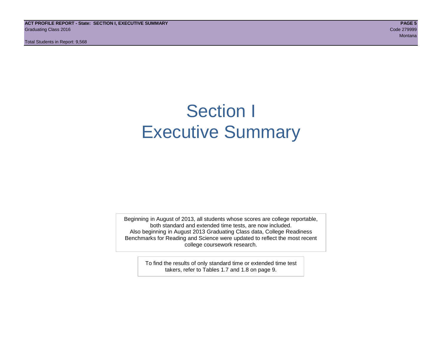**ACT PROFILE REPORT - State: SECTION I, EXECUTIVE SUMMARY PAGE 5** Graduating Class 2016 Code 279999

Total Students in Report: 9,568

# Section I Executive Summary

Beginning in August of 2013, all students whose scores are college reportable, both standard and extended time tests, are now included. Also beginning in August 2013 Graduating Class data, College Readiness Benchmarks for Reading and Science were updated to reflect the most recent college coursework research.

> To find the results of only standard time or extended time test takers, refer to Tables 1.7 and 1.8 on page 9.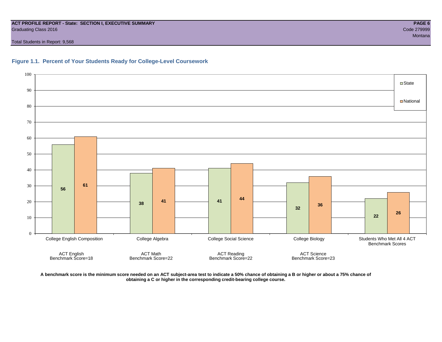#### **ACT PROFILE REPORT - State: SECTION I, EXECUTIVE SUMMARY PAGE 6** Graduating Class 2016 Code 279999

Total Students in Report: 9,568





**A benchmark score is the minimum score needed on an ACT subject-area test to indicate a 50% chance of obtaining a B or higher or about a 75% chance of obtaining a C or higher in the corresponding credit-bearing college course.**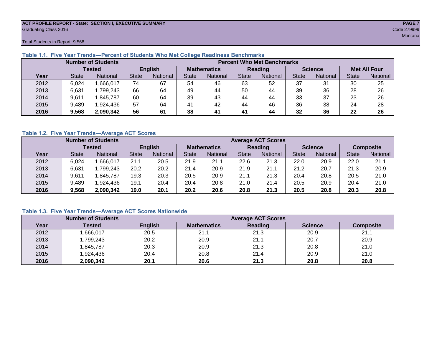#### **ACT PROFILE REPORT - State: SECTION I, EXECUTIVE SUMMARY PAGE 7** Graduating Class 2016 Code 279999

Total Students in Report: 9,568

# **Table 1.1. Five Year Trends—Percent of Students Who Met College Readiness Benchmarks**

|      |                | <b>Number of Students</b> |              |                | <b>Percent Who Met Benchmarks</b> |                    |              |                 |                |          |                     |          |  |  |  |
|------|----------------|---------------------------|--------------|----------------|-----------------------------------|--------------------|--------------|-----------------|----------------|----------|---------------------|----------|--|--|--|
|      | Tested         |                           |              | <b>English</b> |                                   | <b>Mathematics</b> | Reading      |                 | <b>Science</b> |          | <b>Met All Four</b> |          |  |  |  |
| Year | <b>State</b>   | National                  | <b>State</b> | National       | <b>State</b>                      | National           | <b>State</b> | <b>National</b> | <b>State</b>   | National | <b>State</b>        | National |  |  |  |
| 2012 | 6,024          | ,666,017                  | 74           | 67             | 54                                | 46                 | 63           | 52              | 37             | 31       | 30                  | 25       |  |  |  |
| 2013 | 6,631          | ,799,243                  | 66           | 64             | 49                                | 44                 | 50           | 44              | 39             | 36       | 28                  | 26       |  |  |  |
| 2014 | $9.61^{\circ}$ | 1,845,787                 | 60           | 64             | 39                                | 43                 | 44           | 44              | 33             | 37       | 23                  | 26       |  |  |  |
| 2015 | 9,489          | ,924,436                  | 57           | 64             | 41                                | 42                 | 44           | 46              | 36             | 38       | 24                  | 28       |  |  |  |
| 2016 | 9,568          | 2,090,342                 | 56           | 61             | 38                                | 41                 | 41           | 44              | 32             | 36       | 22                  | 26       |  |  |  |

# **Table 1.2. Five Year Trends—Average ACT Scores**

|      |              | <b>Number of Students</b> | <b>Average ACT Scores</b> |                |                    |          |                |                 |              |                |                  |          |  |  |
|------|--------------|---------------------------|---------------------------|----------------|--------------------|----------|----------------|-----------------|--------------|----------------|------------------|----------|--|--|
|      |              | <b>Tested</b>             |                           | <b>English</b> | <b>Mathematics</b> |          | <b>Reading</b> |                 |              | <b>Science</b> | <b>Composite</b> |          |  |  |
| Year | <b>State</b> | <b>National</b>           | <b>State</b>              | National       |                    | National | <b>State</b>   | <b>National</b> | <b>State</b> | National       | <b>State</b>     | National |  |  |
| 2012 | 6,024        | .666,017                  | 21.1                      | 20.5           | 21.9               | 21.1     | 22.6           | 21.3            | 22.0         | 20.9           | 22.0             | 21.1     |  |  |
| 2013 | 6,631        | 1,799,243                 | 20.2                      | 20.2           | 21.4               | 20.9     | 21.9           | 21.1            | 21.2         | 20.7           | 21.3             | 20.9     |  |  |
| 2014 | 9.611        | ,845,787                  | 19.3                      | 20.3           | 20.5               | 20.9     | 21.1           | 21.3            | 20.4         | 20.8           | 20.5             | 21.0     |  |  |
| 2015 | 9,489        | 924,436.                  | 19.1                      | 20.4           | 20.4               | 20.8     | 21.0           | 21.4            | 20.5         | 20.9           | 20.4             | 21.0     |  |  |
| 2016 | 9,568        | 2.090.342                 | 19.0                      | 20.1           | 20.2               | 20.6     | 20.8           | 21.3            | 20.5         | 20.8           | 20.3             | 20.8     |  |  |

# **Table 1.3. Five Year Trends—Average ACT Scores Nationwide**

|      | <b>Number of Students</b> |                |                    | <b>Average ACT Scores</b> |                |                  |
|------|---------------------------|----------------|--------------------|---------------------------|----------------|------------------|
| Year | Tested                    | <b>English</b> | <b>Mathematics</b> | Reading                   | <b>Science</b> | <b>Composite</b> |
| 2012 | ,666,017                  | 20.5           | 21.1               | 21.3                      | 20.9           | 21.1             |
| 2013 | ,799,243                  | 20.2           | 20.9               | 21.1                      | 20.7           | 20.9             |
| 2014 | ,845,787                  | 20.3           | 20.9               | 21.3                      | 20.8           | 21.0             |
| 2015 | 1,924,436                 | 20.4           | 20.8               | 21.4                      | 20.9           | 21.0             |
| 2016 | 2,090,342                 | 20.1           | 20.6               | 21.3                      | 20.8           | 20.8             |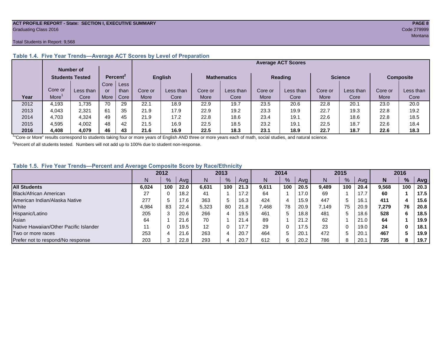#### **ACT PROFILE REPORT - State: SECTION I, EXECUTIVE SUMMARY PAGE 8** Graduating Class 2016 Code 279999

#### Total Students in Report: 9,568

# **Table 1.4. Five Year Trends—Average ACT Scores by Level of Preparation**

|      |         |                        |      |                      |             | <b>Average ACT Scores</b> |         |                    |         |                |         |                |                  |           |  |
|------|---------|------------------------|------|----------------------|-------------|---------------------------|---------|--------------------|---------|----------------|---------|----------------|------------------|-----------|--|
|      |         | Number of              |      |                      |             |                           |         |                    |         |                |         |                |                  |           |  |
|      |         | <b>Students Tested</b> |      | Percent <sup>2</sup> |             | <b>English</b>            |         | <b>Mathematics</b> |         | <b>Reading</b> |         | <b>Science</b> | <b>Composite</b> |           |  |
|      |         |                        | Core | Less                 |             |                           |         |                    |         |                |         |                |                  |           |  |
|      | Core or | Less than              | or   | than                 | Core or     | Less than                 | Core or | Less than          | Core or | Less than      | Core or | Less than      | Core or          | Less than |  |
| Year | More    | Core                   | More | Core                 | <b>More</b> | Core                      | More    | Core               | More    | Core           | More    | Core           | More             | Core      |  |
| 2012 | 4.193   | 1,735                  | 70   | 29                   | 22.1        | 18.9                      | 22.9    | 19.7               | 23.5    | 20.6           | 22.8    | 20.1           | 23.0             | 20.0      |  |
| 2013 | 4.043   | 2,321                  | 61   | 35                   | 21.9        | 17.9                      | 22.9    | 19.2               | 23.3    | 19.9           | 22.7    | 19.3           | 22.8             | 19.2      |  |
| 2014 | 4.703   | 4,324                  | 49   | 45                   | 21.9        | 17.2                      | 22.8    | 18.6               | 23.4    | 19.1           | 22.6    | 18.6           | 22.8             | 18.5      |  |
| 2015 | 4,595   | 4,002                  | 48   | 42                   | 21.5        | 16.9                      | 22.5    | 18.5               | 23.2    | 19.1           | 22.5    | 18.7           | 22.6             | 18.4      |  |
| 2016 | 4,408   | 4,079                  | 46   | 43                   | 21.6        | 16.9                      | 22.5    | 18.3               | 23.1    | 18.9           | 22.7    | 18.7           | 22.6             | 18.3      |  |

<sup>1</sup>"Core or More" results correspond to students taking four or more years of English AND three or more years each of math, social studies, and natural science.

 $2$ Percent of all students tested. Numbers will not add up to 100% due to student non-response.

# **Table 1.5. Five Year Trends—Percent and Average Composite Score by Race/Ethnicity**

|                                        | 2012  |     |      | 2013  |      |      | 2014  |               |      | 2015  |     |      | 2016  |      |      |
|----------------------------------------|-------|-----|------|-------|------|------|-------|---------------|------|-------|-----|------|-------|------|------|
|                                        | N     | %   | Avg  | N     | $\%$ | Avg  | N     | $\frac{9}{6}$ | Avg  | N     | %   | Ava  | N     | $\%$ | Avg  |
| <b>All Students</b>                    | 6,024 | 100 | 22.0 | 6,631 | 100  | 21.3 | 9,611 | 100           | 20.5 | 9,489 | 100 | 20.4 | 9,568 | 100  | 20.3 |
| Black/African American                 | 27    | 0   | 18.2 | 41    |      | 17.2 | 64    |               | 17.0 | 69    |     | 17.7 | 60    |      | 17.5 |
| American Indian/Alaska Native          | 277   | 5   | 7.6  | 363   |      | 16.3 | 424   |               | 15.9 | 447   | 5   | 16.7 | 411   |      | 15.6 |
| White                                  | 4,984 | 83  | 22.4 | 5,323 | 80   | 21.8 | .468  | 78            | 20.9 | 7,149 | 75  | 20.9 | 7,279 | 76   | 20.8 |
| Hispanic/Latino                        | 205   | 3   | 20.6 | 266   |      | 19.5 | 461   |               | 18.8 | 481   | 5   | 18.6 | 528   |      | 18.5 |
| Asian                                  | 64    |     | 21.6 | 70    |      | 21.4 | 89    |               | 21.2 | 62    |     | 21.0 | 64    |      | 19.9 |
| Native Hawaiian/Other Pacific Islander | 11    |     | 19.5 | 12    |      | 17.7 | 29    |               | 17.5 | 23    | 0   | 19.0 | 24    |      | 18.1 |
| Two or more races                      | 253   | 4   | 21.6 | 263   |      | 20.7 | 464   | Ð             | 20.1 | 472   | 5   | 20.7 | 467   |      | 19.9 |
| Prefer not to respond/No response      | 203   | 3   | 22.8 | 293   |      | 20.7 | 612   |               | 20.2 | 786   | 8   | 20.7 | 735   |      | 19.7 |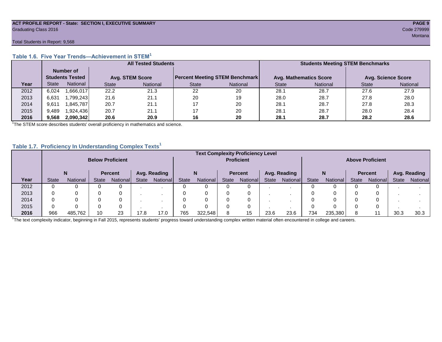#### **ACT PROFILE REPORT - State: SECTION I, EXECUTIVE SUMMARY PAGE 9** Graduating Class 2016 Code 279999

Total Students in Report: 9,568

# **Table 1.6. Five Year Trends—Achievement in STEM<sup>1</sup>**

|      |              |                        |              | <b>All Tested Students</b> |              |                                       | <b>Students Meeting STEM Benchmarks</b> |                               |       |                           |  |  |  |
|------|--------------|------------------------|--------------|----------------------------|--------------|---------------------------------------|-----------------------------------------|-------------------------------|-------|---------------------------|--|--|--|
|      |              | Number of              |              |                            |              |                                       |                                         |                               |       |                           |  |  |  |
|      |              | <b>Students Tested</b> |              | <b>Avg. STEM Score</b>     |              | <b>Percent Meeting STEM Benchmark</b> |                                         | <b>Avg. Mathematics Score</b> |       | <b>Avg. Science Score</b> |  |  |  |
| Year | <b>State</b> | National               | <b>State</b> | <b>National</b>            | <b>State</b> | National                              | <b>State</b>                            | <b>National</b>               | State | National                  |  |  |  |
| 2012 | 6.024        | .666.017               | 22.2         | 21.3                       | 22           | 20                                    | 28.1                                    | 28.7                          | 27.6  | 27.9                      |  |  |  |
| 2013 | 6.631        | ,799,243               | 21.6         | 21.1                       | 20           | 19                                    | 28.0                                    | 28.7                          | 27.8  | 28.0                      |  |  |  |
| 2014 | 9.611        | .845.787               | 20.7         | 21.1                       |              | 20                                    | 28.1                                    | 28.7                          | 27.8  | 28.3                      |  |  |  |
| 2015 | 9.489        | 1,924,436              | 20.7         | 21.1                       |              | 20                                    | 28.1                                    | 28.7                          | 28.0  | 28.4                      |  |  |  |
| 2016 | 9.568        | 2,090,342              | 20.6         | 20.9                       | 16           | 20                                    | 28.1                                    | 28.7                          | 28.2  | 28.6                      |  |  |  |

<sup>1</sup>The STEM score describes students' overall proficiency in mathematics and science.

# **Table 1.7. Proficiency In Understanding Complex Texts<sup>1</sup>**

|      |              |          |              |                         |              |                 |                                |          |              | <b>Text Complexity Proficiency Level</b> |              |                 |              |          |              |                         |              |              |
|------|--------------|----------|--------------|-------------------------|--------------|-----------------|--------------------------------|----------|--------------|------------------------------------------|--------------|-----------------|--------------|----------|--------------|-------------------------|--------------|--------------|
|      |              |          |              | <b>Below Proficient</b> |              |                 |                                |          |              | <b>Proficient</b>                        |              |                 |              |          |              | <b>Above Proficient</b> |              |              |
|      |              |          |              |                         |              |                 | Avg. Reading<br><b>Percent</b> |          |              |                                          |              |                 |              |          |              |                         |              |              |
|      |              |          |              | <b>Percent</b>          |              | Avg. Reading    |                                |          |              |                                          |              |                 |              |          |              | <b>Percent</b>          |              | Avg. Reading |
| Year | <b>State</b> | National | <b>State</b> | National                | <b>State</b> | <b>National</b> | <b>State</b>                   | National | <b>State</b> | National                                 | <b>State</b> | <b>National</b> | <b>State</b> | National | <b>State</b> | National                | <b>State</b> | National     |
| 2012 |              |          |              |                         |              |                 |                                |          |              | 0                                        |              |                 |              |          |              | O                       |              |              |
| 2013 |              |          |              |                         |              |                 |                                |          |              | 0                                        |              |                 |              |          |              | 0                       |              |              |
| 2014 |              |          |              |                         |              |                 |                                |          |              | 0                                        |              |                 |              |          |              |                         |              |              |
| 2015 |              |          |              |                         |              |                 |                                |          |              | 0                                        |              |                 |              |          |              |                         |              |              |
| 2016 | 966          | 485,762  | 10           | 23                      | 7.8          | 17.0            | 765                            | 322,548  |              | 15                                       | 23.6         | 23.6            | 734          | 235,380  | 8            |                         | 30.3         | 30.3         |

<sup>1</sup>The text complexity indicator, beginning in Fall 2015, represents students' progress toward understanding complex written material often encountered in college and careers.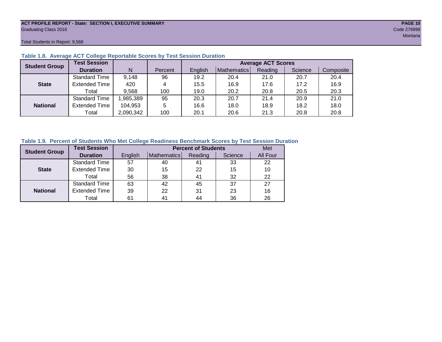#### **ACT PROFILE REPORT - State: SECTION I, EXECUTIVE SUMMARY PAGE 10** Graduating Class 2016 Code 279999

Total Students in Report: 9,568

| <b>Student Group</b> | <b>Test Session</b>  |           |         | <b>Average ACT Scores</b> |             |         |         |           |  |  |  |  |  |
|----------------------|----------------------|-----------|---------|---------------------------|-------------|---------|---------|-----------|--|--|--|--|--|
|                      | <b>Duration</b>      | N         | Percent | English                   | Mathematics | Reading | Science | Composite |  |  |  |  |  |
|                      | <b>Standard Time</b> | 9,148     | 96      | 19.2                      | 20.4        | 21.0    | 20.7    | 20.4      |  |  |  |  |  |
| <b>State</b>         | <b>Extended Time</b> | 420       | 4       | 15.5                      | 16.9        | 17.6    | 17.2    | 16.9      |  |  |  |  |  |
|                      | Total                | 9,568     | 100     | 19.0                      | 20.2        | 20.8    | 20.5    | 20.3      |  |  |  |  |  |
|                      | <b>Standard Time</b> | ,985,389  | 95      | 20.3                      | 20.7        | 21.4    | 20.9    | 21.0      |  |  |  |  |  |
| <b>National</b>      | <b>Extended Time</b> | 104,953   | 5       | 16.6                      | 18.0        | 18.9    | 18.2    | 18.0      |  |  |  |  |  |
|                      | Total                | 2,090,342 | 100     | 20.1                      | 20.6        | 21.3    | 20.8    | 20.8      |  |  |  |  |  |

# **Table 1.8. Average ACT College Reportable Scores by Test Session Duration**

# **Table 1.9. Percent of Students Who Met College Readiness Benchmark Scores by Test Session Duration**

| <b>Student Group</b> | <b>Test Session</b>  |         |             | <b>Percent of Students</b> |         | Met      |
|----------------------|----------------------|---------|-------------|----------------------------|---------|----------|
|                      | <b>Duration</b>      | English | Mathematics | Reading                    | Science | All Four |
|                      | Standard Time        | 57      | 40          | 41                         | 33      | 22       |
| <b>State</b>         | <b>Extended Time</b> | 30      | 15          | 22                         | 15      | 10       |
|                      | Total                | 56      | 38          | 41                         | 32      | 22       |
|                      | <b>Standard Time</b> | 63      | 42          | 45                         | 37      | 27       |
| <b>National</b>      | <b>Extended Time</b> | 39      | 22          | 31                         | 23      | 16       |
|                      | Total                | 61      | 41          | 44                         | 36      | 26       |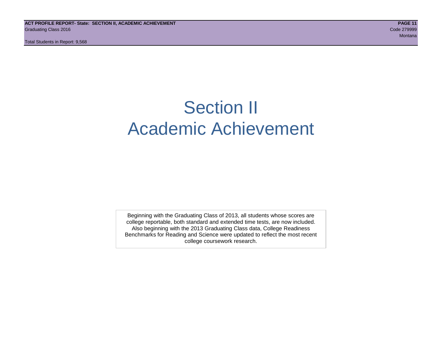Total Students in Report: 9,568

# Section II Academic Achievement

Beginning with the Graduating Class of 2013, all students whose scores are college reportable, both standard and extended time tests, are now included. Also beginning with the 2013 Graduating Class data, College Readiness Benchmarks for Reading and Science were updated to reflect the most recent college coursework research.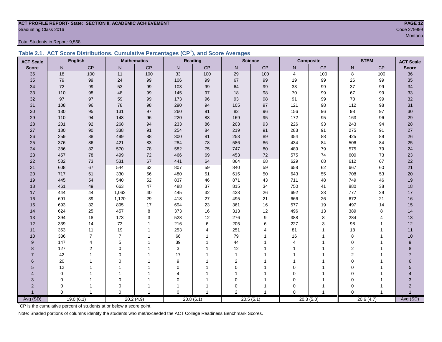#### **ACT PROFILE REPORT- State: SECTION II, ACADEMIC ACHIEVEMENT** *PAGE 12* Graduating Class 2016 Code 279999

Total Students in Report: 9,568

# **Table 2.1. ACT Score Distributions, Cumulative Percentages (CP<sup>1</sup> ), and Score Averages**

| <b>ACT Scale</b> |              | <b>English</b> |                | <b>Mathematics</b> |                | Reading   |                | <b>Science</b>          |                | Composite      |                | <b>STEM</b> | <b>ACT Scale</b> |
|------------------|--------------|----------------|----------------|--------------------|----------------|-----------|----------------|-------------------------|----------------|----------------|----------------|-------------|------------------|
| <b>Score</b>     | $\mathsf{N}$ | CP             | N              | CP                 | N              | CP        | $\mathsf{N}$   | CP                      | N              | CP             | N              | CP          | <b>Score</b>     |
| 36               | 18           | 100            | 11             | 100                | 33             | 100       | 29             | 100                     | $\overline{4}$ | 100            | 8              | 100         | $\overline{36}$  |
| 35               | $\bf 79$     | 99             | 24             | 99                 | 106            | 99        | 67             | 99                      | 19             | 99             | 26             | 99          | 35               |
| 34               | 72           | 99             | 53             | 99                 | 103            | 99        | 64             | 99                      | 33             | 99             | 37             | 99          | 34               |
| 33               | 110          | 98             | 48             | 99                 | 145            | 97        | 18             | 98                      | 70             | 99             | 67             | 99          | 33               |
| 32               | 97           | 97             | 59             | 99                 | 173            | 96        | 93             | 98                      | 91             | 99             | 70             | 99          | 32               |
| 31               | 108          | 96             | 78             | 98                 | 290            | 94        | 105            | 97                      | 121            | 98             | 112            | 98          | 31               |
| 30               | 130          | 95             | 131            | 97                 | 260            | 91        | 82             | 96                      | 156            | 96             | 98             | 97          | 30               |
| 29               | 110          | 94             | 148            | 96                 | 220            | 88        | 169            | 95                      | 172            | 95             | 163            | 96          | 29               |
| 28               | 201          | 92             | 268            | 94                 | 233            | 86        | 203            | 93                      | 226            | 93             | 243            | 94          | 28               |
| 27               | 180          | 90             | 338            | 91                 | 254            | 84        | 219            | 91                      | 283            | 91             | 275            | 91          | 27               |
| 26               | 259          | 88             | 499            | 88                 | 300            | 81        | 253            | 89                      | 354            | 88             | 425            | 89          | 26               |
| 25               | 376          | 86             | 421            | 83                 | 284            | 78        | 586            | 86                      | 434            | 84             | 506            | 84          | 25               |
| 24               | 386          | 82             | 570            | 78                 | 582            | 75        | 747            | 80                      | 489            | 79             | 575            | 79          | 24               |
| 23               | 457          | 78             | 499            | 72                 | 466            | 69        | 453            | 72                      | 575            | 74             | 600            | 73          | 23               |
| 22               | 532          | 73             | 531            | 67                 | 441            | 64        | 864            | 68                      | 629            | 68             | 612            | 67          | 22               |
| 21               | 608          | 67             | 544            | 62                 | 807            | 59        | 840            | 59                      | 658            | 62             | 667            | 60          | 21               |
| 20               | 717          | 61             | 330            | 56                 | 480            | 51        | 615            | 50                      | 643            | 55             | 708            | 53          | 20               |
| 19               | 445          | 54             | 540            | 52                 | 837            | 46        | 871            | 43                      | 711            | 48             | 749            | 46          | 19               |
| 18               | 461          | 49             | 663            | 47                 | 488            | 37        | 815            | 34                      | 750            | 41             | 880            | 38          | 18               |
| 17               | 444          | 44             | 1,062          | 40                 | 445            | 32        | 433            | 26                      | 692            | 33             | 777            | 29          | 17               |
| 16               | 691          | 39             | 1,120          | 29                 | 418            | 27        | 495            | 21                      | 666            | 26             | 672            | 21          | 16               |
| 15               | 693          | 32             | 895            | 17                 | 694            | 23        | 361            | 16                      | 577            | 19             | 497            | 14          | 15               |
| 14               | 624          | 25             | 457            | 8                  | 373            | 16        | 313            | 12                      | 496            | 13             | 389            | 8           | 14               |
| 13               | 394          | 18             | 173            | 3                  | 528            | 12        | 276            | 9                       | 388            | 8              | 284            | 4           | 13               |
| 12               | 339          | 14             | 73             | $\mathbf{1}$       | 216            | 6         | 205            | 6                       | 227            | 3              | 98             | 1           | 12               |
| 11               | 353          | 11             | 19             | $\mathbf 1$        | 253            | 4         | 251            | $\overline{4}$          | 81             |                | 18             | -1          | 11               |
| 10               | 336          | $\overline{7}$ | $\overline{7}$ | 1                  | 66             |           | 79             | $\mathbf{1}$            | 16             |                | 8              | 1           | 10               |
| 9                | 147          | 4              | 5              | 1                  | 39             |           | 44             | $\overline{1}$          | 4              |                | $\mathbf 0$    |             | $\mathsf g$      |
| 8                | 127          | $\overline{2}$ | $\Omega$       | 1                  | 3              |           | 12             | $\overline{1}$          |                |                | $\overline{2}$ |             | 8                |
| $\overline{7}$   | 42           | $\mathbf{1}$   | $\Omega$       | 1                  | 17             |           | 1              | $\overline{\mathbf{1}}$ |                |                | $\mathbf 2$    |             | $\overline{7}$   |
| 6                | 20           | 1              | $\Omega$       | 1                  | 9              |           | $\overline{c}$ | $\overline{1}$          | 1              |                | $\mathbf 0$    |             | 6                |
| 5                | 12           | 1              | 1              | $\mathbf{1}$       | $\Omega$       |           | $\mathbf 0$    | $\overline{1}$          | 0              |                | $\mathbf 0$    |             | 5                |
| 4                | 0            | 1              |                | 1                  | $\overline{4}$ |           | 1              | -1                      | 0              |                | $\mathbf 0$    |             |                  |
| 3                | 0            | $\mathbf{1}$   | $\mathbf 0$    | 1                  | $\mathbf 0$    |           | $\mathbf 0$    | $\overline{1}$          | 0              |                | $\mathbf 0$    |             | 3                |
| 2                | 0            | $\mathbf{1}$   | $\mathbf 0$    | $\mathbf{1}$       | $\mathbf{1}$   |           | 0              | $\overline{1}$          | 0              |                | $\mathbf 0$    | 1           | $\overline{c}$   |
| $\overline{1}$   | $\Omega$     | $\mathbf{1}$   | $\Omega$       | $\mathbf{1}$       | $\Omega$       | 1         | 2              | $\mathbf{1}$            | $\Omega$       | $\overline{1}$ | $\Omega$       |             | $\overline{1}$   |
| Avg (SD)         |              | 19.0(6.1)      |                | 20.2(4.9)          |                | 20.8(6.1) |                | 20.5(5.1)               |                | 20.3(5.0)      |                | 20.6(4.7)   | Avg (SD)         |

 $1^{\circ}$ CP is the cumulative percent of students at or below a score point.

Note: Shaded portions of columns identify the students who met/exceeded the ACT College Readiness Benchmark Scores.

mana ang pangalang pangalang pangalang pangalang pangalang pangalang pangalang pangalang pangalang manang pang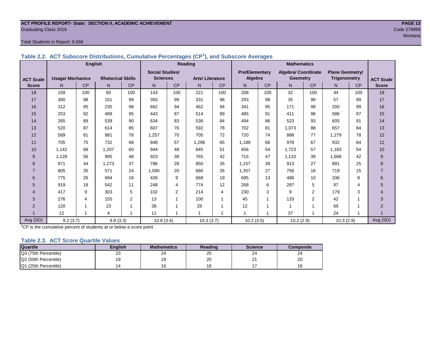### **ACT PROFILE REPORT- State: SECTION II, ACADEMIC ACHIEVEMENT PAGE 13** Code 279999 Craduating Class 2016

man and the contract of the contract of the contract of the contract of the contract of the contract of the contract of the contract of the contract of the contract of the contract of the contract of the contract of the co

Total Students in Report: 9,568

|  |  | Table 2.2. ACT Subscore Distributions, Cumulative Percentages (CP <sup>1</sup> ), and Subscore Averages |
|--|--|---------------------------------------------------------------------------------------------------------|

|                  |                         | <b>English</b> |                          |     |                        |                | Reading                |     | <b>Mathematics</b>    |     |                            |                |                        |     |                  |
|------------------|-------------------------|----------------|--------------------------|-----|------------------------|----------------|------------------------|-----|-----------------------|-----|----------------------------|----------------|------------------------|-----|------------------|
|                  |                         |                |                          |     | <b>Social Studies/</b> |                |                        |     | <b>Pre/Elementary</b> |     | <b>Algebra/ Coordinate</b> |                | <b>Plane Geometry/</b> |     |                  |
| <b>ACT Scale</b> | <b>Usage/ Mechanics</b> |                | <b>Rhetorical Skills</b> |     | <b>Sciences</b>        |                | <b>Arts/Literature</b> |     | Algebra               |     | <b>Geometry</b>            |                | Trigonometry           |     | <b>ACT Scale</b> |
| <b>Score</b>     | N                       | CP             | N                        | CP  | N.                     | CP             | N                      | CP  | N                     | CP  | N                          | <b>CP</b>      | N                      | CP  | <b>Score</b>     |
| 18               | 159                     | 100            | 60                       | 100 | 143                    | 100            | 221                    | 100 | 208                   | 100 | 32                         | 100            | 44                     | 100 | 18               |
| 17               | 300                     | 98             | 151                      | 99  | 393                    | 99             | 331                    | 98  | 293                   | 98  | 35                         | 99             | 57                     | 99  | 17               |
| 16               | 312                     | 95             | 235                      | 98  | 662                    | 94             | 462                    | 94  | 341                   | 95  | 171                        | 99             | 200                    | 99  | 16               |
| 15               | 253                     | 92             | 489                      | 95  | 443                    | 87             | 514                    | 89  | 485                   | 91  | 411                        | 98             | 586                    | 97  | 15               |
| 14               | 265                     | 89             | 539                      | 90  | 634                    | 83             | 536                    | 84  | 494                   | 86  | 523                        | 93             | 605                    | 91  | 14               |
| 13               | 520                     | 87             | 614                      | 85  | 607                    | 76             | 592                    | 78  | 702                   | 81  | 1,073                      | 88             | 657                    | 84  | 13               |
| 12               | 589                     | 81             | 981                      | 78  | 1,257                  | 70             | 705                    | 72  | 720                   | 74  | 888                        | 77             | 1,279                  | 78  | 12               |
| 11               | 705                     | 75             | 732                      | 68  | 848                    | 57             | 1,296                  | 65  | 1.189                 | 66  | 978                        | 67             | 932                    | 64  | 11               |
| 10               | 1,142                   | 68             | 1,207                    | 60  | 944                    | 48             | 845                    | 51  | 656                   | 54  | 1,723                      | 57             | 1,183                  | 54  | 10               |
| 9                | 1,128                   | 56             | 995                      | 48  | 923                    | 38             | 765                    | 42  | 715                   | 47  | 1,110                      | 39             | 1,668                  | 42  | 9                |
| 8                | 871                     | 44             | 1,273                    | 37  | 786                    | 28             | 850                    | 35  | 1,157                 | 39  | 913                        | 27             | 891                    | 25  | 8                |
| $\overline{7}$   | 805                     | 35             | 571                      | 24  | 1,090                  | 20             | 666                    | 26  | 1,357                 | 27  | 756                        | 18             | 719                    | 15  | $\overline{7}$   |
| 6                | 775                     | 26             | 694                      | 18  | 426                    | 9              | 668                    | 19  | 695                   | 13  | 488                        | 10             | 336                    | 8   | $6\phantom{1}6$  |
| 5                | 919                     | 18             | 542                      | 11  | 248                    | 4              | 774                    | 12  | 268                   | 6   | 287                        | 5              | 97                     | 4   | 5                |
| $\overline{4}$   | 417                     | 9              | 303                      | 5   | 102                    | $\overline{2}$ | 214                    | 4   | 230                   | 3   | 9                          | $\overline{2}$ | 179                    | 3   | $\overline{4}$   |
| 3                | 276                     | 4              | 155                      | 2   | 13                     | 1              | 100                    | 1   | 45                    |     | 133                        | $\overline{2}$ | 42                     |     | 3                |
| $\overline{2}$   | 120                     | 4              | 23                       | 1   | 38                     | 1              | 28                     | 1   | 12                    |     |                            |                | 69                     |     | $\overline{2}$   |
|                  | 12                      | 1              | 4                        | 1   | 11                     | 1              | 1                      | 1   | 1                     |     | 37                         | 1              | 24                     | 1   |                  |
| Avg (SD)         | 9.2(3.7)                |                | 9.8(3.3)                 |     | 10.8(3.4)              |                | 10.3(3.7)              |     | 10.2(3.5)             |     | 10.2(2.9)                  |                | 10.3(2.9)              |     | Avg (SD)         |

<sup>1</sup>CP is the cumulative percent of students at or below a score point.

### **Table 2.3. ACT Score Quartile Values**

| <b>Quartile</b>      | <b>English</b> | <b>Mathematics</b> | Reading | <b>Science</b> | Composite |
|----------------------|----------------|--------------------|---------|----------------|-----------|
| Q3 (75th Percentile) | 23             | 24                 | 25      | 24             | 24        |
| Q2 (50th Percentile) | 19             |                    | 20      |                | 20        |
| Q1 (25th Percentile) |                |                    | 16      |                |           |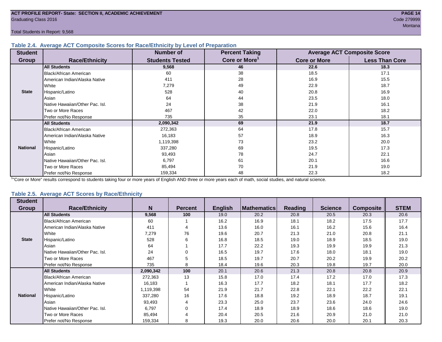Total Students in Report: 9,568

# **Table 2.4. Average ACT Composite Scores for Race/Ethnicity by Level of Preparation**

| <b>Student</b>  |                                 | <b>Number of</b>       | <b>Percent Taking</b>     | <b>Average ACT Composite Score</b> |                       |
|-----------------|---------------------------------|------------------------|---------------------------|------------------------------------|-----------------------|
| <b>Group</b>    | <b>Race/Ethnicity</b>           | <b>Students Tested</b> | Core or More <sup>1</sup> | <b>Core or More</b>                | <b>Less Than Core</b> |
|                 | <b>All Students</b>             | 9,568                  | 46                        | 22.6                               | 18.3                  |
|                 | Black/African American          | 60                     | 38                        | 18.5                               | 17.1                  |
|                 | American Indian/Alaska Native   | 411                    | 28                        | 16.9                               | 15.5                  |
|                 | White                           | 7,279                  | 49                        | 22.9                               | 18.7                  |
| <b>State</b>    | Hispanic/Latino                 | 528                    | 40                        | 20.8                               | 16.9                  |
|                 | Asian                           | 64                     | 44                        | 23.5                               | 18.0                  |
|                 | Native Hawaiian/Other Pac. Isl. | 24                     | 38                        | 21.9                               | 16.1                  |
|                 | Two or More Races               | 467                    | 42                        | 22.0                               | 18.2                  |
|                 | Prefer not/No Response          | 735                    | 35                        | 23.1                               | 18.1                  |
|                 | <b>All Students</b>             | 2,090,342              | 69                        | 21.9                               | 18.7                  |
|                 | <b>Black/African American</b>   | 272,363                | 64                        | 17.8                               | 15.7                  |
|                 | American Indian/Alaska Native   | 16,183                 | 57                        | 18.9                               | 16.3                  |
|                 | White                           | 1,119,398              | 73                        | 23.2                               | 20.0                  |
| <b>National</b> | Hispanic/Latino                 | 337,280                | 69                        | 19.5                               | 17.3                  |
|                 | Asian                           | 93,493                 | 78                        | 24.7                               | 22.1                  |
|                 | Native Hawaiian/Other Pac. Isl. | 6,797                  | 61                        | 20.1                               | 16.6                  |
|                 | Two or More Races               | 85,494                 | 70                        | 21.9                               | 19.0                  |
|                 | Prefer not/No Response          | 159,334                | 48                        | 22.3                               | 18.2                  |

<sup>1</sup>"Core or More" results correspond to students taking four or more years of English AND three or more years each of math, social studies, and natural science.

# **Table 2.5. Average ACT Scores by Race/Ethnicity**

| <b>Student</b>  |                                 |           |                |                |                    |         |                |                  |             |
|-----------------|---------------------------------|-----------|----------------|----------------|--------------------|---------|----------------|------------------|-------------|
| <b>Group</b>    | <b>Race/Ethnicity</b>           | <b>N</b>  | <b>Percent</b> | <b>English</b> | <b>Mathematics</b> | Reading | <b>Science</b> | <b>Composite</b> | <b>STEM</b> |
|                 | <b>All Students</b>             | 9,568     | 100            | 19.0           | 20.2               | 20.8    | 20.5           | 20.3             | 20.6        |
|                 | Black/African American          | 60        |                | 16.2           | 16.9               | 18.1    | 18.2           | 17.5             | 17.7        |
|                 | American Indian/Alaska Native   | 411       | 4              | 13.6           | 16.0               | 16.1    | 16.2           | 15.6             | 16.4        |
|                 | <b>White</b>                    | 7,279     | 76             | 19.6           | 20.7               | 21.3    | 21.0           | 20.8             | 21.1        |
| <b>State</b>    | Hispanic/Latino                 | 528       | 6              | 16.8           | 18.5               | 19.0    | 18.9           | 18.5             | 19.0        |
|                 | Asian                           | 64        |                | 17.7           | 22.2               | 19.3    | 19.9           | 19.9             | 21.3        |
|                 | Native Hawaiian/Other Pac. Isl. | 24        | 0              | 16.5           | 19.7               | 17.6    | 18.0           | 18.1             | 19.0        |
|                 | Two or More Races               | 467       | 5              | 18.5           | 19.7               | 20.7    | 20.2           | 19.9             | 20.2        |
|                 | Prefer not/No Response          | 735       | 8              | 18.4           | 19.6               | 20.3    | 19.8           | 19.7             | 20.0        |
|                 | <b>All Students</b>             | 2,090,342 | 100            | 20.1           | 20.6               | 21.3    | 20.8           | 20.8             | 20.9        |
|                 | Black/African American          | 272,363   | 13             | 15.8           | 17.0               | 17.4    | 17.2           | 17.0             | 17.3        |
|                 | American Indian/Alaska Native   | 16,183    |                | 16.3           | 17.7               | 18.2    | 18.1           | 17.7             | 18.2        |
|                 | <b>White</b>                    | 1,119,398 | 54             | 21.9           | 21.7               | 22.8    | 22.1           | 22.2             | 22.1        |
| <b>National</b> | Hispanic/Latino                 | 337,280   | 16             | 17.6           | 18.8               | 19.2    | 18.9           | 18.7             | 19.1        |
|                 | Asian                           | 93,493    | 4              | 23.3           | 25.0               | 23.7    | 23.6           | 24.0             | 24.6        |
|                 | Native Hawaiian/Other Pac. Isl. | 6,797     | 0              | 17.4           | 18.9               | 18.9    | 18.6           | 18.6             | 19.0        |
|                 | Two or More Races               | 85,494    |                | 20.4           | 20.5               | 21.6    | 20.9           | 21.0             | 21.0        |
|                 | Prefer not/No Response          | 159,334   | 8              | 19.3           | 20.0               | 20.6    | 20.0           | 20.1             | 20.3        |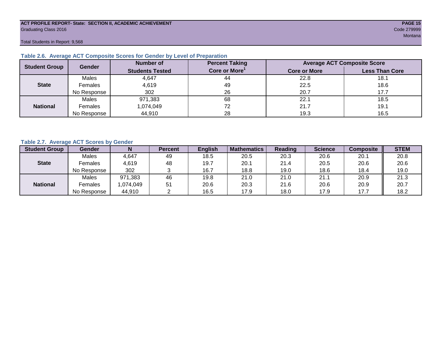### **ACT PROFILE REPORT- State: SECTION II, ACADEMIC ACHIEVEMENT PAGE 15** Code 279999 Code 279999 Code 279999 Code 279999 Code 279999 Code 279999 Code 279999 Code 279999 Code 279999 Code 279999 Code 279999 Code 279999 Code 279999 Code 279999 Code 279999 Code 279999 Code 279999 Code 279999 Code 2

Total Students in Report: 9,568

# **Table 2.6. Average ACT Composite Scores for Gender by Level of Preparation**

| <b>Student Group</b> | <b>Gender</b> | <b>Number of</b>       | <b>Percent Taking</b>     | <b>Average ACT Composite Score</b> |                       |  |  |
|----------------------|---------------|------------------------|---------------------------|------------------------------------|-----------------------|--|--|
|                      |               | <b>Students Tested</b> | Core or More <sup>1</sup> | <b>Core or More</b>                | <b>Less Than Core</b> |  |  |
|                      | Males         | 4,647                  | 44                        | 22.8                               | 18.1                  |  |  |
| <b>State</b>         | Females       | 4,619                  | 49                        | 22.5                               | 18.6                  |  |  |
|                      | No Response   | 302                    | 26                        | 20.7                               | 17.7                  |  |  |
|                      | Males         | 971,383                | 68                        | 22.1                               | 18.5                  |  |  |
| <b>National</b>      | Females       | 1,074,049              | 72                        | 21.7                               | 19.1                  |  |  |
|                      | No Response   | 44,910                 | 28                        | 19.3                               | 16.5                  |  |  |

# **Table 2.7. Average ACT Scores by Gender**

| <b>Student Group</b> | Gender      |         | <b>Percent</b> | <b>English</b> | <b>Mathematics</b> | Reading | <b>Science</b> | <b>Composite</b> | <b>STEM</b> |
|----------------------|-------------|---------|----------------|----------------|--------------------|---------|----------------|------------------|-------------|
|                      | Males       | 4,647   | 49             | 18.5           | 20.5               | 20.3    | 20.6           | 20.1             | 20.8        |
| <b>State</b>         | Females     | 4,619   | 48             | 19.7           | 20.1               | 21.4    | 20.5           | 20.6             | 20.6        |
|                      | No Response | 302     |                | 16.7           | 18.8               | 19.0    | 18.6           | 18.4             | 19.0        |
|                      | Males       | 971,383 | 46             | 19.8           | 21.0               | 21.0    | 21.1           | 20.9             | 21.3        |
| <b>National</b>      | Females     | 074,049 | 51             | 20.6           | 20.3               | 21.6    | 20.6           | 20.9             | 20.7        |
|                      | No Response | 44,910  |                | 16.5           | 17.9               | 18.0    | 17.9           | 17.7             | 18.2        |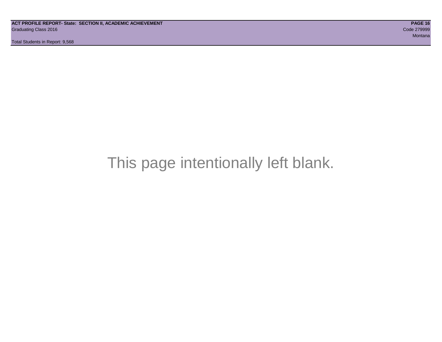**ACT PROFILE REPORT- State: SECTION II, ACADEMIC ACHIEVEMENT PAGE 16** Graduating Class 2016 Code 279999

Total Students in Report: 9,568

# This page intentionally left blank.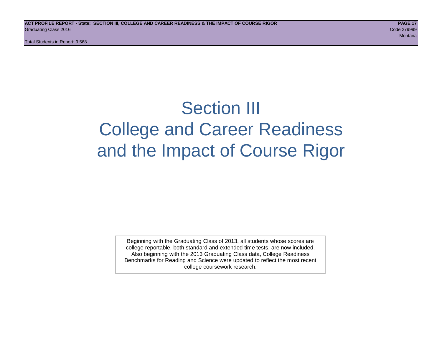Total Students in Report: 9,568

# Section III College and Career Readiness and the Impact of Course Rigor

Beginning with the Graduating Class of 2013, all students whose scores are college reportable, both standard and extended time tests, are now included. Also beginning with the 2013 Graduating Class data, College Readiness Benchmarks for Reading and Science were updated to reflect the most recent college coursework research.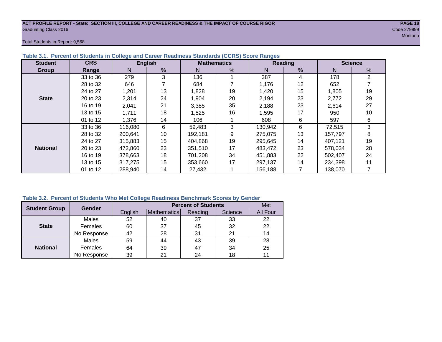### ACT PROFILE REPORT - State: SECTION III, COLLEGE AND CAREER READINESS & THE IMPACT OF COURSE RIGOR **PAGE 18** Graduating Class 2016 Code 279999

Total Students in Report: 9,568

| <b>Student</b>  | <b>CRS</b> |         | <b>English</b> |         | <b>Mathematics</b> |         | Reading | <b>Science</b> |    |
|-----------------|------------|---------|----------------|---------|--------------------|---------|---------|----------------|----|
| Group           | Range      | N.      | %              | N.      | %                  | N.      | %       | N              | %  |
|                 | 33 to 36   | 279     | 3              | 136     |                    | 387     | 4       | 178            | 2  |
|                 | 28 to 32   | 646     |                | 684     |                    | 1,176   | 12      | 652            |    |
|                 | 24 to 27   | 1,201   | 13             | 1,828   | 19                 | 1,420   | 15      | 1,805          | 19 |
| <b>State</b>    | 20 to 23   | 2,314   | 24             | 1,904   | 20                 | 2,194   | 23      | 2,772          | 29 |
|                 | 16 to 19   | 2,041   | 21             | 3,385   | 35                 | 2,188   | 23      | 2,614          | 27 |
|                 | 13 to 15   | 1,711   | 18             | 1,525   | 16                 | 1,595   | 17      | 950            | 10 |
|                 | 01 to 12   | 1,376   | 14             | 106     |                    | 608     | 6       | 597            | 6  |
|                 | 33 to 36   | 116,080 | 6              | 59,483  | 3                  | 130,942 | 6       | 72,515         | 3  |
|                 | 28 to 32   | 200,641 | 10             | 192,181 | 9                  | 275,075 | 13      | 157,797        | 8  |
|                 | 24 to 27   | 315,883 | 15             | 404.868 | 19                 | 295.645 | 14      | 407,121        | 19 |
| <b>National</b> | 20 to 23   | 472,860 | 23             | 351.510 | 17                 | 483,472 | 23      | 578,034        | 28 |
|                 | 16 to 19   | 378,663 | 18             | 701,208 | 34                 | 451.883 | 22      | 502.407        | 24 |
|                 | 13 to 15   | 317,275 | 15             | 353,660 | 17                 | 297,137 | 14      | 234,398        | 11 |
|                 | 01 to 12   | 288,940 | 14             | 27,432  |                    | 156,188 |         | 138,070        |    |

**Table 3.1. Percent of Students in College and Career Readiness Standards (CCRS) Score Ranges**

# **Table 3.2. Percent of Students Who Met College Readiness Benchmark Scores by Gender**

| <b>Student Group</b> | Gender      |         |             | <b>Percent of Students</b> |         | Met      |
|----------------------|-------------|---------|-------------|----------------------------|---------|----------|
|                      |             | English | Mathematics | Reading                    | Science | All Four |
|                      | Males       | 52      | 40          | 37                         | 33      | 22       |
| <b>State</b>         | Females     | 60      | 37          | 45                         | 32      | 22       |
|                      | No Response | 42      | 28          | 31                         | 21      | 14       |
|                      | Males       | 59      | 44          | 43                         | 39      | 28       |
| <b>National</b>      | Females     | 64      | 39          | 47                         | 34      | 25       |
|                      | No Response | 39      | 21          | 24                         | 18      | 11       |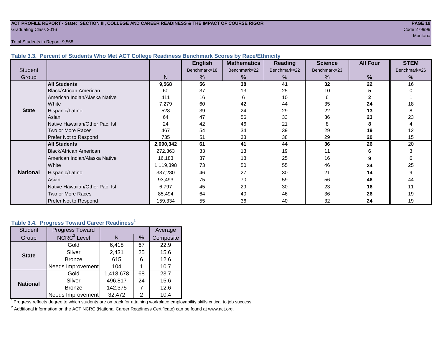### **ACT PROFILE REPORT - State: SECTION III, COLLEGE AND CAREER READINESS & THE IMPACT OF COURSE RIGOR PAGE 19** Graduating Class 2016 Code 279999

#### Total Students in Report: 9,568

**Table 3.3. Percent of Students Who Met ACT College Readiness Benchmark Scores by Race/Ethnicity**

|                 |                                |           | <b>English</b> | <b>Mathematics</b> | <b>Reading</b> | <b>Science</b> | <b>All Four</b> | <b>STEM</b>  |
|-----------------|--------------------------------|-----------|----------------|--------------------|----------------|----------------|-----------------|--------------|
| Student         |                                |           | Benchmark=18   | Benchmark=22       | Benchmark=22   | Benchmark=23   |                 | Benchmark=26 |
| Group           |                                | N         | %              | %                  | %              | %              | %               | %            |
|                 | <b>All Students</b>            | 9,568     | 56             | 38                 | 41             | 32             | 22              | 16           |
|                 | Black/African American         | 60        | 37             | 13                 | 25             | 10             |                 |              |
|                 | American Indian/Alaska Native  | 411       | 16             |                    | 10             | 6              |                 |              |
|                 | White                          | 7,279     | 60             | 42                 | 44             | 35             | 24              | 18           |
| <b>State</b>    | Hispanic/Latino                | 528       | 39             | 24                 | 29             | 22             | 13              | 8            |
|                 | Asian                          | 64        | 47             | 56                 | 33             | 36             | 23              | 23           |
|                 | Native Hawaiian/Other Pac. Isl | 24        | 42             | 46                 | 21             | 8              |                 |              |
|                 | Two or More Races              | 467       | 54             | 34                 | 39             | 29             | 19              | 12           |
|                 | Prefer Not to Respond          | 735       | 51             | 33                 | 38             | 29             | 20              | 15           |
|                 | <b>All Students</b>            | 2,090,342 | 61             | 41                 | 44             | 36             | 26              | 20           |
|                 | Black/African American         | 272,363   | 33             | 13                 | 19             | 11             |                 |              |
|                 | American Indian/Alaska Native  | 16,183    | 37             | 18                 | 25             | 16             |                 | ิค           |
|                 | White                          | 1,119,398 | 73             | 50                 | 55             | 46             | 34              | 25           |
| <b>National</b> | Hispanic/Latino                | 337,280   | 46             | 27                 | 30             | 21             | 14              |              |
|                 | Asian                          | 93,493    | 75             | 70                 | 59             | 56             | 46              | 44           |
|                 | Native Hawaiian/Other Pac. Isl | 6,797     | 45             | 29                 | 30             | 23             | 16              | 11           |
|                 | Two or More Races              | 85,494    | 64             | 40                 | 46             | 36             | 26              | 19           |
|                 | Prefer Not to Respond          | 159,334   | 55             | 36                 | 40             | 32             | 24              | 19           |

# **Table 3.4. Progress Toward Career Readiness<sup>1</sup>**

| <b>Student</b>  | <b>Progress Toward</b>  |           |      | Average   |
|-----------------|-------------------------|-----------|------|-----------|
| Group           | NCRC <sup>2</sup> Level | N         | $\%$ | Composite |
|                 | Gold                    | 6,418     | 67   | 22.9      |
| <b>State</b>    | Silver                  | 2,431     | 25   | 15.6      |
|                 | <b>Bronze</b>           | 615       | 6    | 12.6      |
|                 | Needs Improvement       | 104       |      | 10.7      |
|                 | Gold                    | 1,418,678 | 68   | 23.7      |
| <b>National</b> | Silver                  | 496,817   | 24   | 15.6      |
|                 | <b>Bronze</b>           | 142,375   |      | 12.6      |
|                 | Needs Improvement       | 32,472    | 2    | 10.4      |

<sup>1</sup> Progress reflects degree to which students are on track for attaining workplace employability skills critical to job success.

<sup>2</sup> Additional information on the ACT NCRC (National Career Readiness Certificate) can be found at www.act.org.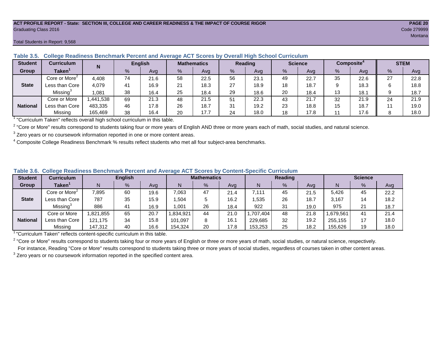#### **ACT PROFILE REPORT - State: SECTION III, COLLEGE AND CAREER READINESS & THE IMPACT OF COURSE RIGOR PAGE 20** Graduating Class 2016 Code 279999

| uwiv vivi       | oonogo noganiooo<br><u>uivuituin Atuluus AVI vuolus M</u><br>o ruhan man oonoon odhi iyahani |           |                |      |                    |      |                |      |                |                   |                  |      |             |      |
|-----------------|----------------------------------------------------------------------------------------------|-----------|----------------|------|--------------------|------|----------------|------|----------------|-------------------|------------------|------|-------------|------|
| <b>Student</b>  | <b>Curriculum</b>                                                                            | N         | <b>English</b> |      | <b>Mathematics</b> |      | <b>Reading</b> |      | <b>Science</b> |                   | <b>Composite</b> |      | <b>STEM</b> |      |
| <b>Group</b>    | <b>Taken</b>                                                                                 |           | $\%$           | Avg  | %                  | Avg  | %              | Avg  | %              | Avq               | %                | Ava  | %           | Avg  |
| <b>State</b>    | Core or More $^2$                                                                            | 4,408     | 74             | 21.6 | 58                 | 22.5 | 56             | 23.1 | 49             | 22.7              | 35               | 22.6 | 27          | 22.8 |
|                 | Less than Core                                                                               | 4,079     | 41             | 16.9 | 21                 | 18.3 | 07             | 18.9 | 18             | 18.7              |                  | 18.3 | 6           | 18.8 |
|                 | Missing                                                                                      | 081       | 38             | 16.4 | 25                 | 18.4 | 29             | 18.6 | 20             | 18.4              | 13               | 18.7 | 9           | 18.7 |
|                 | Core or More                                                                                 | 1,441,538 | 69             | 21.3 | 48                 | 21.5 | 5 <sup>1</sup> | 22.3 | 43             | 217<br><u>zi.</u> | 32               | 21.9 | 24          | 21.9 |
| <b>National</b> | Less than Core                                                                               | 483.335   | 46             | 17.8 | 26                 | 18.7 | 31             | 19.2 | 23             | 18.8              | 15               | 18.7 | 11          | 19.0 |
|                 | Missing                                                                                      | 165.469   | 38             | 16.4 | 20                 | 17.7 | 24             | 18.0 | 18             | 17.8              |                  | 17.6 | 8           | 18.0 |

# **Table 3.5. College Readiness Benchmark Percent and Average ACT Scores by Overall High School Curriculum**

1 "Curriculum Taken" reflects overall high school curriculum in this table.

<sup>2</sup> "Core or More" results correspond to students taking four or more years of English AND three or more years each of math, social studies, and natural science.

 $3$  Zero years or no coursework information reported in one or more content areas.

<sup>4</sup> Composite College Readiness Benchmark % results reflect students who met all four subject-area benchmarks.

# **Table 3.6. College Readiness Benchmark Percent and Average ACT Scores by Content-Specific Curriculum**

| <b>Student</b>  | <b>Curriculum</b>         |          | <b>English</b> |      |          | <b>Mathematics</b> |      |          | <b>Reading</b> |      | <b>Science</b> |    |      |
|-----------------|---------------------------|----------|----------------|------|----------|--------------------|------|----------|----------------|------|----------------|----|------|
| Group           | $\mathsf{Taken}^1$        | N        | %              | Avg  | N        | %                  | Avg  |          | %              | Avg  | N              | %  | Avg  |
| <b>State</b>    | Core or More <sup>2</sup> | 7,895    | 60             | 19.6 | 7.063    | 47                 | 21.4 | 7.111    | 45             | 21.5 | 5.426          | 45 | 22.2 |
|                 | Less than Core            | 787      | 35             | 15.9 | ,504     |                    | 16.2 | .535     | 26             | 18.7 | 3,167          | 14 | 18.2 |
|                 | Missing <sup>3</sup>      | 886      | 41             | 16.9 | 1,001    | 26                 | 18.4 | 922      | 31             | 19.0 | 975            | 21 | 18.7 |
| <b>National</b> | Core or More              | .821.855 | 65             | 20.7 | ,834,921 | 44                 | 21.0 | ,707,404 | 48             | 21.8 | 1.679.561      | 41 | 21.4 |
|                 | Less than Core            | 121.175  | 34             | 15.8 | 101.097  |                    | 16.1 | 229,685  | 32             | 19.2 | 255.155        |    | 18.0 |
|                 | Missing                   | 147,312  | 40             | 16.6 | 154,324  | 20                 | 17.8 | 153,253  | 25             | 18.2 | 155,626        | 19 | 18.0 |

<sup>1</sup>"Curriculum Taken" reflects content-specific curriculum in this table.

<sup>2</sup> "Core or More" results correspond to students taking four or more years of English or three or more years of math, social studies, or natural science, respectively. For instance, Reading "Core or More" results correspond to students taking three or more years of social studies, regardless of courses taken in other content areas.

 $3$  Zero years or no coursework information reported in the specified content area.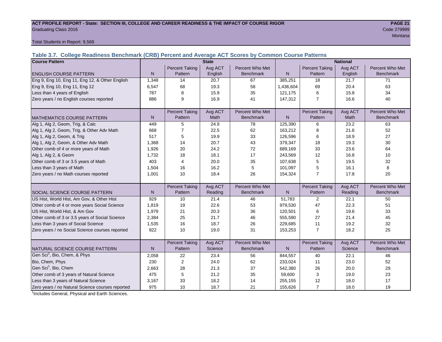#### ACT PROFILE REPORT - State: SECTION III, COLLEGE AND CAREER READINESS & THE IMPACT OF COURSE RIGOR **PAGE 21** Graduating Class 2016 Code 279999

man and the contract of the contract of the contract of the contract of the contract of the contract of the co

Total Students in Report: 9,568

# **Table 3.7. College Readiness Benchmark (CRB) Percent and Average ACT Scores by Common Course Patterns**

| <b>Course Pattern</b>                            |                |                                  | <b>State</b>       |                                     | <b>National</b> |                                  |                    |                                     |  |  |
|--------------------------------------------------|----------------|----------------------------------|--------------------|-------------------------------------|-----------------|----------------------------------|--------------------|-------------------------------------|--|--|
|                                                  |                | <b>Percent Taking</b>            | Avg ACT            | Percent Who Met                     |                 | <b>Percent Taking</b>            | Avg ACT            | Percent Who Met                     |  |  |
| <b>ENGLISH COURSE PATTERN</b>                    | $\overline{N}$ | Pattern                          | English            | <b>Benchmark</b>                    | $\mathsf{N}$    | Pattern                          | English            | <b>Benchmark</b>                    |  |  |
| Eng 9, Eng 10, Eng 11, Eng 12, & Other English   | 1,348          | 14                               | 20.7               | 67                                  | 385,251         | 18                               | 21.7               | 71                                  |  |  |
| Eng 9, Eng 10, Eng 11, Eng 12                    | 6,547          | 68                               | 19.3               | 58                                  | 1,436,604       | 69                               | 20.4               | 63                                  |  |  |
| Less than 4 years of English                     | 787            | 8                                | 15.9               | 35                                  | 121.175         | 6                                | 15.8               | 34                                  |  |  |
| Zero years / no English courses reported         | 886            | 9                                | 16.9               | 41                                  | 147,312         | $\overline{7}$                   | 16.6               | 40                                  |  |  |
|                                                  |                |                                  |                    |                                     |                 |                                  |                    |                                     |  |  |
|                                                  |                | <b>Percent Taking</b>            | Avg ACT            | Percent Who Met                     |                 | <b>Percent Taking</b>            | Avg ACT            | Percent Who Met                     |  |  |
| <b>MATHEMATICS COURSE PATTERN</b>                | $\mathsf{N}$   | Pattern                          | Math               | <b>Benchmark</b>                    | $\mathsf{N}$    | Pattern                          | Math               | Benchmark                           |  |  |
| Alg 1, Alg 2, Geom, Trig, & Calc                 | 449            | 5                                | 24.9               | 78                                  | 125,390         | 6                                | 23.2               | 63                                  |  |  |
| Alg 1, Alg 2, Geom, Trig, & Other Adv Math       | 668            | $\overline{7}$                   | 22.5               | 62                                  | 163,212         | 8                                | 21.6               | 52                                  |  |  |
| Alg 1, Alg 2, Geom, & Trig                       | 517            | 5                                | 19.9               | 33                                  | 126,596         | 6                                | 18.9               | 27                                  |  |  |
| Alg 1, Alg 2, Geom, & Other Adv Math             | 1,368          | 14                               | 20.7               | 43                                  | 379,347         | 18                               | 19.3               | 30                                  |  |  |
| Other comb of 4 or more years of Math            | 1,926          | 20                               | 24.2               | 72                                  | 689,169         | 33                               | 23.6               | 64                                  |  |  |
| Alg 1, Alg 2, & Geom                             | 1,732          | 18                               | 18.1               | 17                                  | 243,569         | 12                               | 16.8               | 10                                  |  |  |
| Other comb of 3 or 3.5 years of Math             | 403            | 4                                | 20.0               | 35                                  | 107,638         | 5                                | 19.5               | 32                                  |  |  |
| Less than 3 years of Math                        | 1,504          | 16                               | 16.2               | 5                                   | 101,097         | 5                                | 16.1               | 8                                   |  |  |
| Zero years / no Math courses reported            | 1,001          | 10                               | 18.4               | 26                                  | 154,324         | $\overline{7}$                   | 17.8               | 20                                  |  |  |
|                                                  |                |                                  |                    |                                     |                 |                                  |                    |                                     |  |  |
|                                                  |                | <b>Percent Taking</b>            | Avg ACT            | Percent Who Met                     |                 | <b>Percent Taking</b>            | Avg ACT            | Percent Who Met                     |  |  |
| SOCIAL SCIENCE COURSE PATTERN                    | $\overline{N}$ | Pattern                          | Reading            | <b>Benchmark</b>                    | $\mathsf{N}$    | Pattern                          | Reading            | <b>Benchmark</b>                    |  |  |
| US Hist, World Hist, Am Gov, & Other Hist        | 929            | 10                               | 21.4               | 46                                  | 51,783          | $\overline{2}$                   | 22.1               | 50                                  |  |  |
| Other comb of 4 or more years Social Science     | 1,819          | 19                               | 22.6               | 53                                  | 979,530         | 47                               | 22.3               | 51                                  |  |  |
| US Hist, World Hist, & Am Gov                    | 1,979          | 21                               | 20.3               | 36                                  | 120,501         | 6                                | 19.6               | 33                                  |  |  |
| Other comb of 3 or 3.5 years of Social Science   | 2,384          | 25                               | 21.7               | 46                                  | 555,590         | 27                               | 21.4               | 45                                  |  |  |
| Less than 3 years of Social Science              | 1,535          | 16                               | 18.7               | 26                                  | 229,685         | 11                               | 19.2               | 32                                  |  |  |
| Zero years / no Social Science courses reported  | 922            | 10                               | 19.0               | 31                                  | 153,253         | $\overline{7}$                   | 18.2               | 25                                  |  |  |
|                                                  |                |                                  |                    |                                     |                 |                                  |                    |                                     |  |  |
| NATURAL SCIENCE COURSE PATTERN                   | $\overline{N}$ | <b>Percent Taking</b><br>Pattern | Avg ACT<br>Science | Percent Who Met<br><b>Benchmark</b> | N               | <b>Percent Taking</b><br>Pattern | Avg ACT<br>Science | Percent Who Met<br><b>Benchmark</b> |  |  |
|                                                  |                |                                  |                    |                                     |                 |                                  |                    |                                     |  |  |
| Gen Sci <sup>1</sup> , Bio, Chem, & Phys         | 2,058          | 22                               | 23.4               | 56                                  | 844,557         | 40                               | 22.1               | 46                                  |  |  |
| Bio, Chem, Phys                                  | 230            | $\overline{2}$                   | 24.0               | 62                                  | 233,024         | 11                               | 23.0               | 52                                  |  |  |
| Gen Sci <sup>1</sup> , Bio, Chem                 | 2,663          | 28                               | 21.3               | 37                                  | 542,380         | 26                               | 20.0               | 29                                  |  |  |
| Other comb of 3 years of Natural Science         | 475            | 5                                | 21.2               | 35                                  | 59,600          | 3                                | 19.0               | 23                                  |  |  |
| Less than 3 years of Natural Science             | 3,167          | 33                               | 18.2               | 14                                  | 255,155         | 12                               | 18.0               | 17                                  |  |  |
| Zero years / no Natural Science courses reported | 975            | 10                               | 18.7               | 21                                  | 155,626         | $\overline{7}$                   | 18.0               | 19                                  |  |  |

<sup>1</sup>Includes General, Physical and Earth Sciences.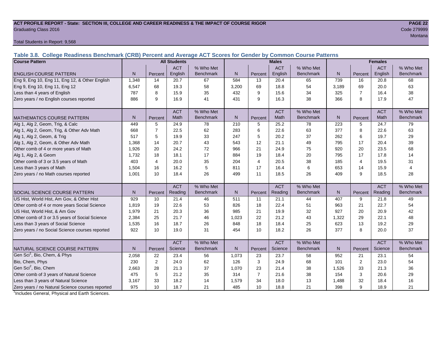### **ACT PROFILE REPORT - State: SECTION III, COLLEGE AND CAREER READINESS & THE IMPACT OF COURSE RIGOR PAGE 22** Graduating Class 2016 Code 279999

Total Students in Report: 9,568

**Table 3.8. College Readiness Benchmark (CRB) Percent and Average ACT Scores for Gender by Common Course Patterns**

| <b>Course Pattern</b>                            |                |                | <b>All Students</b> |                  |                |                | <b>Males</b> |                  |       |                |            |                         |
|--------------------------------------------------|----------------|----------------|---------------------|------------------|----------------|----------------|--------------|------------------|-------|----------------|------------|-------------------------|
|                                                  |                |                | <b>ACT</b>          | % Who Met        |                |                | <b>ACT</b>   | % Who Met        |       |                | <b>ACT</b> | % Who Met               |
| <b>ENGLISH COURSE PATTERN</b>                    | N              | Percent        | English             | <b>Benchmark</b> | $\mathsf{N}$   | Percent        | English      | <b>Benchmark</b> | N     | Percent        | English    | <b>Benchmark</b>        |
| Eng 9, Eng 10, Eng 11, Eng 12, & Other English   | 1,348          | 14             | 20.7                | 67               | 584            | 13             | 20.4         | 65               | 739   | 16             | 20.8       | 68                      |
| Eng 9, Eng 10, Eng 11, Eng 12                    | 6,547          | 68             | 19.3                | 58               | 3,200          | 69             | 18.8         | 54               | 3,189 | 69             | 20.0       | 63                      |
| Less than 4 years of English                     | 787            | 8              | 15.9                | 35               | 432            | 9              | 15.6         | 34               | 325   | $\overline{7}$ | 16.4       | 38                      |
| Zero years / no English courses reported         | 886            | 9              | 16.9                | 41               | 431            | 9              | 16.3         | 38               | 366   | 8              | 17.9       | 47                      |
|                                                  |                |                | <b>ACT</b>          | % Who Met        |                |                | <b>ACT</b>   | % Who Met        |       |                | <b>ACT</b> | % Who Met               |
| <b>IMATHEMATICS COURSE PATTERN</b>               | N <sub>1</sub> | Percent        | Math                | <b>Benchmark</b> | $\mathsf{N}$   | Percent        | Math         | <b>Benchmark</b> | N     | Percent        | Math       | <b>Benchmark</b>        |
| Alg 1, Alg 2, Geom, Trig, & Calc                 | 449            | 5              | 24.9                | 78               | 210            | 5              | 25.2         | 78               | 223   | 5              | 24.7       | 79                      |
| Alg 1, Alg 2, Geom, Trig, & Other Adv Math       | 668            | $\overline{7}$ | 22.5                | 62               | 283            | 6              | 22.6         | 63               | 377   | 8              | 22.6       | 63                      |
| Alg 1, Alg 2, Geom, & Trig                       | 517            | 5              | 19.9                | 33               | 247            | 5              | 20.2         | 37               | 262   | 6              | 19.7       | 29                      |
| Alg 1, Alg 2, Geom, & Other Adv Math             | 1,368          | 14             | 20.7                | 43               | 543            | 12             | 21.1         | 49               | 795   | 17             | 20.4       | 39                      |
| Other comb of 4 or more years of Math            | 1,926          | 20             | 24.2                | 72               | 966            | 21             | 24.9         | 75               | 920   | 20             | 23.5       | 68                      |
| Alg 1, Alg 2, & Geom                             | 1,732          | 18             | 18.1                | 17               | 884            | 19             | 18.4         | 20               | 795   | 17             | 17.8       | 14                      |
| Other comb of 3 or 3.5 years of Math             | 403            | 4              | 20.0                | 35               | 204            | 4              | 20.5         | 38               | 185   | 4              | 19.5       | 31                      |
| Less than 3 years of Math                        | 1,504          | 16             | 16.2                | 5                | 811            | 17             | 16.4         | 6                | 653   | 14             | 15.9       | $\overline{\mathbf{4}}$ |
| Zero years / no Math courses reported            | 1,001          | 10             | 18.4                | 26               | 499            | 11             | 18.5         | 26               | 409   | 9              | 18.5       | 28                      |
|                                                  |                |                | <b>ACT</b>          | % Who Met        |                |                | <b>ACT</b>   | % Who Met        |       |                | <b>ACT</b> | % Who Met               |
| SOCIAL SCIENCE COURSE PATTERN                    | N <sub>1</sub> | Percent        | Reading             | <b>Benchmark</b> | N <sub>1</sub> | Percent        | Reading      | <b>Benchmark</b> | N.    | Percent        | Reading    | <b>Benchmark</b>        |
| US Hist, World Hist, Am Gov, & Other Hist        | 929            | 10             | 21.4                | 46               | 511            | 11             | 21.1         | 44               | 407   | 9              | 21.8       | 49                      |
| Other comb of 4 or more years Social Science     | 1,819          | 19             | 22.6                | 53               | 826            | 18             | 22.4         | 51               | 963   | 21             | 22.7       | 54                      |
| US Hist, World Hist, & Am Gov                    | 1,979          | 21             | 20.3                | 36               | 985            | 21             | 19.9         | 32               | 927   | 20             | 20.9       | 42                      |
| Other comb of 3 or 3.5 years of Social Science   | 2,384          | 25             | 21.7                | 46               | 1,023          | 22             | 21.2         | 43               | 1,322 | 29             | 22.1       | 48                      |
| Less than 3 years of Social Science              | 1,535          | 16             | 18.7                | 26               | 848            | 18             | 18.4         | 25               | 623   | 13             | 19.2       | 29                      |
| Zero years / no Social Science courses reported  | 922            | 10             | 19.0                | 31               | 454            | 10             | 18.2         | 26               | 377   | 8              | 20.0       | 37                      |
|                                                  |                |                | <b>ACT</b>          | % Who Met        |                |                | <b>ACT</b>   | % Who Met        |       |                | <b>ACT</b> | % Who Met               |
| NATURAL SCIENCE COURSE PATTERN                   | N.             | Percent        | Science             | <b>Benchmark</b> | N              | Percent        | Science      | <b>Benchmark</b> | N     | Percent        | Science    | <b>Benchmark</b>        |
| Gen Sci <sup>1</sup> , Bio, Chem, & Phys         | 2,058          | 22             | 23.4                | 56               | 1,073          | 23             | 23.7         | 58               | 952   | 21             | 23.1       | 54                      |
| Bio, Chem, Phys                                  | 230            | 2              | 24.0                | 62               | 126            | 3              | 24.9         | 68               | 101   | $\overline{2}$ | 23.0       | 54                      |
| Gen Sci <sup>2</sup> , Bio, Chem                 | 2,663          | 28             | 21.3                | 37               | 1,070          | 23             | 21.4         | 38               | 1,526 | 33             | 21.3       | 36                      |
| Other comb of 3 years of Natural Science         | 475            | 5              | 21.2                | 35               | 314            | $\overline{7}$ | 21.6         | 38               | 154   | $\mathbf{3}$   | 20.6       | 29                      |
| Less than 3 years of Natural Science             | 3,167          | 33             | 18.2                | 14               | 1,579          | 34             | 18.0         | 13               | 1,488 | 32             | 18.4       | 16                      |
| Zero years / no Natural Science courses reported | 975            | 10             | 18.7                | 21               | 485            | 10             | 18.8         | 21               | 398   | 9              | 18.9       | 21                      |

<sup>1</sup>Includes General, Physical and Earth Sciences.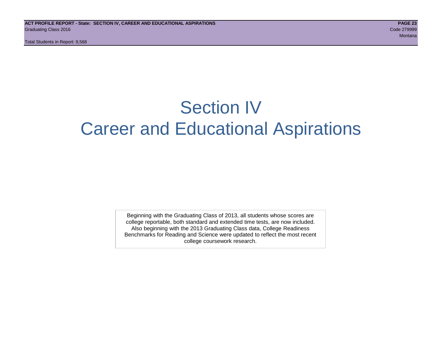# Section IV Career and Educational Aspirations

Beginning with the Graduating Class of 2013, all students whose scores are college reportable, both standard and extended time tests, are now included. Also beginning with the 2013 Graduating Class data, College Readiness Benchmarks for Reading and Science were updated to reflect the most recent college coursework research.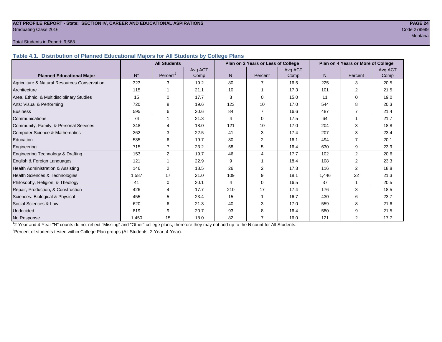#### **ACT PROFILE REPORT - State: SECTION IV, CAREER AND EDUCATIONAL ASPIRATIONS PAGE 24** Graduating Class 2016 Code 279999

de la construcción de la construcción de la construcción de la construcción de la construcción de la construcc Total Students in Report: 9,568

|                                              | <b>All Students</b> |                      |                 |                | Plan on 2 Years or Less of College |                 | Plan on 4 Years or More of College |          |                 |  |
|----------------------------------------------|---------------------|----------------------|-----------------|----------------|------------------------------------|-----------------|------------------------------------|----------|-----------------|--|
| <b>Planned Educational Major</b>             | N <sup>1</sup>      | Percent <sup>2</sup> | Avg ACT<br>Comp | N <sub>1</sub> | Percent                            | Avg ACT<br>Comp | N.                                 | Percent  | Avg ACT<br>Comp |  |
| Agriculture & Natural Resources Conservation | 323                 | 3                    | 19.2            | 80             |                                    | 16.5            | 225                                | 3        | 20.5            |  |
| Architecture                                 | 115                 |                      | 21.1            | 10             |                                    | 17.3            | 101                                | 2        | 21.5            |  |
| Area, Ethnic, & Multidisciplinary Studies    | 15                  | $\Omega$             | 17.7            | 3              | $\Omega$                           | 15.0            | 11                                 | $\Omega$ | 19.0            |  |
| Arts: Visual & Performing                    | 720                 | 8                    | 19.6            | 123            | 10                                 | 17.0            | 544                                | 8        | 20.3            |  |
| <b>Business</b>                              | 595                 | 6                    | 20.6            | 84             | 7                                  | 16.6            | 487                                |          | 21.4            |  |
| Communications                               | 74                  |                      | 21.3            | 4              | $\Omega$                           | 17.5            | 64                                 |          | 21.7            |  |
| Community, Family, & Personal Services       | 348                 |                      | 18.0            | 121            | 10                                 | 17.0            | 204                                | 3        | 18.8            |  |
| <b>Computer Science &amp; Mathematics</b>    | 262                 | 3                    | 22.5            | 41             | 3                                  | 17.4            | 207                                | 3        | 23.4            |  |
| Education                                    | 535                 | 6                    | 19.7            | 30             | $\overline{2}$                     | 16.1            | 494                                |          | 20.1            |  |
| Engineering                                  | 715                 |                      | 23.2            | 58             | 5                                  | 16.4            | 630                                | 9        | 23.9            |  |
| Engineering Technology & Drafting            | 153                 | $\overline{2}$       | 19.7            | 46             | 4                                  | 17.7            | 102                                | 2        | 20.6            |  |
| English & Foreign Languages                  | 121                 |                      | 22.9            | 9              |                                    | 18.4            | 108                                | 2        | 23.3            |  |
| Health Administration & Assisting            | 146                 | $\overline{2}$       | 18.5            | 26             | 2                                  | 17.3            | 116                                | 2        | 18.8            |  |
| Health Sciences & Technologies               | 1.587               | 17                   | 21.0            | 109            | 9                                  | 18.1            | 1,446                              | 22       | 21.3            |  |
| Philosophy, Religion, & Theology             | 41                  | $\mathbf 0$          | 20.1            | 4              | 0                                  | 16.5            | 37                                 |          | 20.5            |  |
| Repair, Production, & Construction           | 426                 | 4                    | 17.7            | 210            | 17                                 | 17.4            | 176                                | 3        | 18.5            |  |
| Sciences: Biological & Physical              | 455                 | 5                    | 23.4            | 15             |                                    | 16.7            | 430                                | 6        | 23.7            |  |
| Social Sciences & Law                        | 620                 | 6                    | 21.3            | 40             | 3                                  | 17.0            | 559                                | 8        | 21.6            |  |
| <b>Undecided</b>                             | 819                 | 9                    | 20.7            | 93             | 8                                  | 16.4            | 580                                | 9        | 21.5            |  |
| No Response                                  | 1,450               | 15                   | 18.0            | 82             |                                    | 16.0            | 121                                |          | 17.7            |  |

**Table 4.1. Distribution of Planned Educational Majors for All Students by College Plans**

1 2-Year and 4-Year "N" counts do not reflect "Missing" and "Other" college plans, therefore they may not add up to the N count for All Students.

<sup>2</sup> Percent of students tested within College Plan groups (All Students, 2-Year, 4-Year).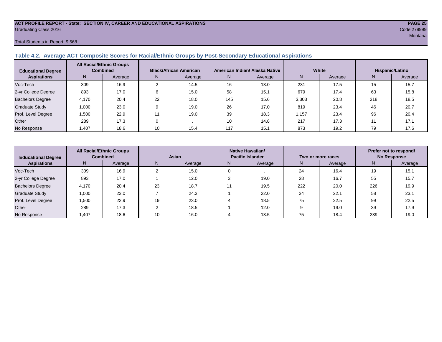### **ACT PROFILE REPORT - State: SECTION IV, CAREER AND EDUCATIONAL ASPIRATIONS PAGE 25** Graduating Class 2016 Code 279999

#### Total Students in Report: 9,568

# **Table 4.2. Average ACT Composite Scores for Racial/Ethnic Groups by Post-Secondary Educational Aspirations**

| <b>All Racial/Ethnic Groups</b><br><b>Combined</b><br><b>Educational Degree</b> |       |         |    | <b>Black/African American</b> |     | American Indian/ Alaska Native |       | White   | Hispanic/Latino |         |  |
|---------------------------------------------------------------------------------|-------|---------|----|-------------------------------|-----|--------------------------------|-------|---------|-----------------|---------|--|
| <b>Aspirations</b>                                                              | N.    | Average | N  | Average                       | N   | Average                        | Ν     | Average | N               | Average |  |
| Voc-Tech                                                                        | 309   | 16.9    | ົ  | 14.5                          | 16  | 13.0                           | 231   | 17.5    | 15              | 15.7    |  |
| 2-yr College Degree                                                             | 893   | 17.0    | 6  | 15.0                          | 58  | 15.1                           | 679   | 17.4    | 63              | 15.8    |  |
| <b>Bachelors Degree</b>                                                         | 4.170 | 20.4    | 22 | 18.0                          | 145 | 15.6                           | 3,303 | 20.8    | 218             | 18.5    |  |
| <b>Graduate Study</b>                                                           | 1,000 | 23.0    | 9  | 19.0                          | 26  | 17.0                           | 819   | 23.4    | 46              | 20.7    |  |
| Prof. Level Degree                                                              | 1,500 | 22.9    |    | 19.0                          | 39  | 18.3                           | 1,157 | 23.4    | 96              | 20.4    |  |
| Other                                                                           | 289   | 17.3    |    |                               | 10  | 14.8                           | 217   | 17.3    |                 | 17.1    |  |
| No Response                                                                     | 1,407 | 18.6    | 10 | 15.4                          | 117 | 15.1                           | 873   | 19.2    | 79              | 17.6    |  |

| <b>All Racial/Ethnic Groups</b><br><b>Combined</b><br><b>Educational Degree</b> |       | Asian   |    |         | <b>Native Hawaiian/</b><br><b>Pacific Islander</b> |         | Two or more races | Prefer not to respond/<br><b>No Response</b> |     |         |
|---------------------------------------------------------------------------------|-------|---------|----|---------|----------------------------------------------------|---------|-------------------|----------------------------------------------|-----|---------|
| <b>Aspirations</b>                                                              | N     | Average | N  | Average | N                                                  | Average | N,                | Average                                      | Ν   | Average |
| Voc-Tech                                                                        | 309   | 16.9    |    | 15.0    |                                                    |         | 24                | 16.4                                         | 19  | 15.1    |
| 2-yr College Degree                                                             | 893   | 17.0    |    | 12.0    |                                                    | 19.0    | 28                | 16.7                                         | 55  | 15.7    |
| <b>Bachelors Degree</b>                                                         | 4,170 | 20.4    | 23 | 18.7    |                                                    | 19.5    | 222               | 20.0                                         | 226 | 19.9    |
| <b>Graduate Study</b>                                                           | 1,000 | 23.0    |    | 24.3    |                                                    | 22.0    | 34                | 22.1                                         | 58  | 23.1    |
| Prof. Level Degree                                                              | 1,500 | 22.9    | 19 | 23.0    |                                                    | 18.5    | 75                | 22.5                                         | 99  | 22.5    |
| Other                                                                           | 289   | 17.3    |    | 18.5    |                                                    | 12.0    | 9                 | 19.0                                         | 39  | 17.9    |
| No Response                                                                     | 1,407 | 18.6    | 10 | 16.0    |                                                    | 13.5    | 75                | 18.4                                         | 239 | 19.0    |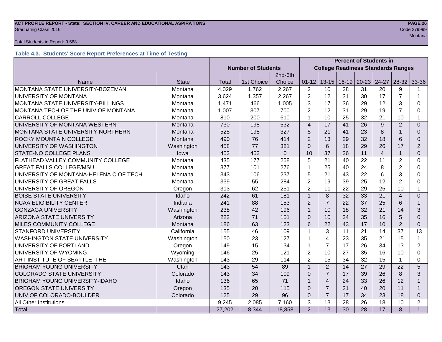# **ACT PROFILE REPORT - State: SECTION IV, CAREER AND EDUCATIONAL ASPIRATIONS PAGE 26** Code 279999

#### Total Students in Report: 9,568

# **Table 4.3. Students' Score Report Preferences at Time of Testing**

|                                          |              |        |                           |          | <b>Percent of Students in</b> |                                           |           |           |                |                |                |
|------------------------------------------|--------------|--------|---------------------------|----------|-------------------------------|-------------------------------------------|-----------|-----------|----------------|----------------|----------------|
|                                          |              |        | <b>Number of Students</b> |          |                               | <b>College Readiness Standards Ranges</b> |           |           |                |                |                |
|                                          |              |        |                           | 2nd-6th  |                               |                                           |           |           |                |                |                |
| Name                                     | <b>State</b> | Total  | 1st Choice                | Choice   | $01 - 12$                     | $13 - 15$                                 | $16 - 19$ | $20 - 23$ | 24-27          | $28-32$        | 33-36          |
| MONTANA STATE UNIVERSITY-BOZEMAN         | Montana      | 4,029  | 1,762                     | 2,267    | $\overline{2}$                | 10                                        | 28        | 31        | 20             | 9              |                |
| UNIVERSITY OF MONTANA                    | Montana      | 3,624  | 1,357                     | 2,267    | $\overline{2}$                | 12                                        | 31        | 30        | 17             | $\overline{7}$ | 1              |
| <b>MONTANA STATE UNIVERSITY-BILLINGS</b> | Montana      | 1,471  | 466                       | 1,005    | 3                             | 17                                        | 36        | 29        | 12             | 3              | $\Omega$       |
| MONTANA TECH OF THE UNIV OF MONTANA      | Montana      | 1,007  | 307                       | 700      | $\overline{2}$                | 12                                        | 31        | 29        | 19             | $\overline{7}$ | $\Omega$       |
| <b>CARROLL COLLEGE</b>                   | Montana      | 810    | 200                       | 610      | 1                             | 10                                        | 25        | 32        | 21             | 10             | 1              |
| UNIVERSITY OF MONTANA WESTERN            | Montana      | 730    | 198                       | 532      | $\overline{4}$                | 17                                        | 41        | 26        | 9              | $\overline{2}$ | $\Omega$       |
| MONTANA STATE UNIVERSITY-NORTHERN        | Montana      | 525    | 198                       | 327      | 5                             | 21                                        | 41        | 23        | 8              |                | $\Omega$       |
| <b>ROCKY MOUNTAIN COLLEGE</b>            | Montana      | 490    | 76                        | 414      | $\overline{2}$                | 13                                        | 29        | 32        | 18             | 6              | $\Omega$       |
| UNIVERSITY OF WASHINGTON                 | Washington   | 458    | 77                        | 381      | $\overline{0}$                | $6\phantom{1}$                            | 18        | 29        | 26             | 17             | $\overline{2}$ |
| <b>STATE-NO COLLEGE PLANS</b>            | lowa         | 452    | 452                       | $\Omega$ | 10                            | 37                                        | 36        | 11        | $\overline{4}$ |                | $\Omega$       |
| FLATHEAD VALLEY COMMUNITY COLLEGE        | Montana      | 435    | 177                       | 258      | 5                             | 21                                        | 40        | 22        | 11             | $\overline{2}$ | 0              |
| <b>GREAT FALLS COLLEGE/MSU</b>           | Montana      | 377    | 101                       | 276      | 1                             | 25                                        | 40        | 24        | 8              | $\overline{2}$ | 0              |
| UNIVERSITY OF MONTANA-HELENA C OF TECH   | Montana      | 343    | 106                       | 237      | 5                             | 21                                        | 43        | 22        | 6              | 3              | $\Omega$       |
| UNIVERSITY OF GREAT FALLS                | Montana      | 339    | 55                        | 284      | $\overline{2}$                | 19                                        | 39        | 25        | 12             | $\overline{2}$ | $\Omega$       |
| UNIVERSITY OF OREGON                     | Oregon       | 313    | 62                        | 251      | $\overline{2}$                | 11                                        | 22        | 29        | 25             | 10             | $\mathbf{1}$   |
| <b>BOISE STATE UNIVERSITY</b>            | Idaho        | 242    | 61                        | 181      | 1                             | 8                                         | 32        | 33        | 21             | 4              | $\Omega$       |
| <b>NCAA ELIGIBILITY CENTER</b>           | Indiana      | 241    | 88                        | 153      | $\overline{2}$                | $\overline{7}$                            | 22        | 37        | 25             | 6              | 1              |
| <b>GONZAGA UNIVERSITY</b>                | Washington   | 238    | 42                        | 196      | 1                             | 10                                        | 18        | 32        | 21             | 14             | 3              |
| <b>ARIZONA STATE UNIVERSITY</b>          | Arizona      | 222    | 71                        | 151      | $\Omega$                      | 10                                        | 34        | 35        | 16             | 5              | $\Omega$       |
| MILES COMMUNITY COLLEGE                  | Montana      | 186    | 63                        | 123      | $6\phantom{1}$                | 22                                        | 43        | 17        | 10             | $\overline{2}$ | $\mathbf 0$    |
| <b>STANFORD UNIVERSITY</b>               | California   | 155    | 46                        | 109      | 1                             | 3                                         | 11        | 21        | 14             | 37             | 13             |
| <b>WASHINGTON STATE UNIVERSITY</b>       | Washington   | 150    | 23                        | 127      |                               | 4                                         | 23        | 35        | 21             | 15             | $\mathbf{1}$   |
| UNIVERSITY OF PORTLAND                   | Oregon       | 149    | 15                        | 134      | 1                             | $\overline{7}$                            | 17        | 26        | 34             | 13             | $\overline{2}$ |
| UNIVERSITY OF WYOMING                    | Wyoming      | 146    | 25                        | 121      | $\overline{2}$                | 10                                        | 27        | 35        | 16             | 10             | 0              |
| ART INSTITUTE OF SEATTLE THE             | Washington   | 143    | 29                        | 114      | $\overline{2}$                | 15                                        | 34        | 32        | 15             |                | 0              |
| <b>BRIGHAM YOUNG UNIVERSITY</b>          | Utah         | 143    | 54                        | 89       | $\overline{1}$                | $\overline{2}$                            | 14        | 27        | 29             | 22             | 5              |
| <b>COLORADO STATE UNIVERSITY</b>         | Colorado     | 143    | 34                        | 109      | $\Omega$                      | $\overline{7}$                            | 17        | 39        | 26             | 8              | 3              |
| <b>BRIGHAM YOUNG UNIVERSITY-IDAHO</b>    | Idaho        | 136    | 65                        | 71       |                               | $\overline{\mathcal{L}}$                  | 24        | 33        | 26             | 12             | 1              |
| <b>OREGON STATE UNIVERSITY</b>           | Oregon       | 135    | 20                        | 115      | $\Omega$                      | $\overline{7}$                            | 21        | 40        | 20             | 11             | $\mathbf 1$    |
| UNIV OF COLORADO-BOULDER                 | Colorado     | 125    | 29                        | 96       | $\Omega$                      | $\overline{7}$                            | 17        | 34        | 23             | 18             | 0              |
| All Other Institutions                   |              | 9,245  | 2,085                     | 7,160    | 3                             | $\overline{13}$                           | 28        | 26        | 18             | 10             | $\overline{2}$ |
| Total                                    |              | 27,202 | 8,344                     | 18,858   | $\overline{2}$                | $\overline{13}$                           | 30        | 28        | 17             | 8              | $\mathbf{1}$   |

de la construcción de la construcción de la construcción de la construcción de la construcción de la construcc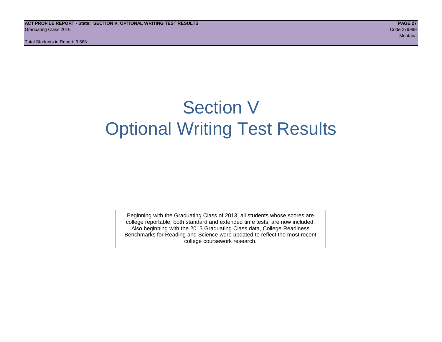# Section V Optional Writing Test Results

Beginning with the Graduating Class of 2013, all students whose scores are college reportable, both standard and extended time tests, are now included. Also beginning with the 2013 Graduating Class data, College Readiness Benchmarks for Reading and Science were updated to reflect the most recent college coursework research.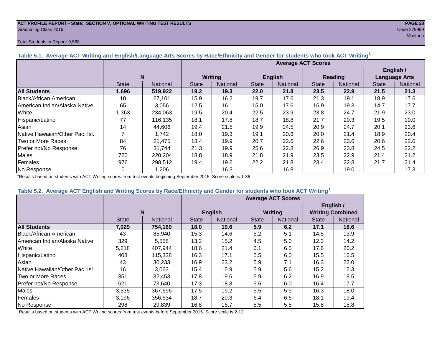#### **ACT PROFILE REPORT - State: SECTION V, OPTIONAL WRITING TEST RESULTS PAGE 28** Graduating Class 2016 Code 279999

#### Total Students in Report: 9,568

|                                 |              |          | <b>Average ACT Scores</b> |          |                |                 |              |          |                      |           |  |
|---------------------------------|--------------|----------|---------------------------|----------|----------------|-----------------|--------------|----------|----------------------|-----------|--|
|                                 |              |          |                           |          |                |                 |              |          |                      | English / |  |
|                                 |              | N        | Writing                   |          | <b>English</b> |                 | Reading      |          | <b>Language Arts</b> |           |  |
|                                 | <b>State</b> | National | <b>State</b>              | National | <b>State</b>   | <b>National</b> | <b>State</b> | National | <b>State</b>         | National  |  |
| <b>All Students</b>             | 1,696        | 519,922  | 19.2                      | 19.3     | 22.0           | 21.8            | 23.5         | 22.9     | 21.5                 | 21.3      |  |
| Black/African American          | 10           | 67.101   | 15.9                      | 16.2     | 19.7           | 17.6            | 21.3         | 19.1     | 18.9                 | 17.6      |  |
| American Indian/Alaska Native   | 65           | 3,056    | 12.5                      | 16.1     | 15.0           | 17.6            | 16.9         | 19.3     | 14.7                 | 17.7      |  |
| <b>White</b>                    | ,363         | 234,063  | 19.5                      | 20.4     | 22.5           | 23.9            | 23.8         | 24.7     | 21.9                 | 23.0      |  |
| Hispanic/Latino                 | 77           | 116,135  | 18.1                      | 17.8     | 18.7           | 18.8            | 21.7         | 20.3     | 19.5                 | 19.0      |  |
| Asian                           | 14           | 44,606   | 19.4                      | 21.5     | 19.9           | 24.5            | 20.9         | 24.7     | 20.1                 | 23.6      |  |
| Native Hawaiian/Other Pac. Isl. |              | 1.742    | 18.0                      | 19.3     | 19.1           | 20.6            | 20.0         | 21.4     | 18.9                 | 20.4      |  |
| <b>ITwo or More Races</b>       | 84           | 21,475   | 18.4                      | 19.9     | 20.7           | 22.6            | 22.6         | 23.6     | 20.6                 | 22.0      |  |
| Prefer not/No Response          | 76           | 31,744   | 21.3                      | 19.9     | 25.6           | 22.8            | 26.9         | 23.8     | 24.5                 | 22.2      |  |
| Males                           | 720          | 220,204  | 18.8                      | 18.9     | 21.8           | 21.9            | 23.5         | 22.9     | 21.4                 | 21.2      |  |
| Females                         | 976          | 298,512  | 19.4                      | 19.6     | 22.2           | 21.8            | 23.4         | 22.8     | 21.7                 | 21.4      |  |
| No Response                     | 0            | 1,206    |                           | 16.3     |                | 16.8            |              | 19.0     |                      | 17.3      |  |

**Table 5.1. Average ACT Writing and English/Language Arts Scores by Race/Ethnicity and Gender for students who took ACT Writing<sup>1</sup>**

<sup>1</sup>Results based on students with ACT Writing scores from test events beginning September 2015. Score scale is 1-36.

# **Table 5.2. Average ACT English and Writing Scores by Race/Ethnicity and Gender for students who took ACT Writing<sup>1</sup>**

|                                        |                                 |         | <b>Average ACT Scores</b> |                |              |                 |                         |           |  |  |
|----------------------------------------|---------------------------------|---------|---------------------------|----------------|--------------|-----------------|-------------------------|-----------|--|--|
|                                        |                                 |         |                           |                |              |                 |                         | English / |  |  |
|                                        |                                 | N       |                           | <b>English</b> |              | <b>Writing</b>  | <b>Writing Combined</b> |           |  |  |
|                                        | <b>State</b><br><b>National</b> |         | <b>State</b>              | National       | <b>State</b> | <b>National</b> | <b>State</b>            | National  |  |  |
| <b>All Students</b>                    | 7,029                           | 754,169 | 18.0                      | 19.6           | 5.9          | 6.2             | 17.1                    | 18.6      |  |  |
| Black/African American                 | 43                              | 85,940  | 15.3                      | 14.6           | 5.2          | 5.1             | 14.5                    | 13.9      |  |  |
| <b>IAmerican Indian/Alaska Native</b>  | 329                             | 5,558   | 13.2                      | 15.2           | 4.5          | 5.0             | 12.3                    | 14.2      |  |  |
| <b>White</b>                           | 5,218                           | 407,944 | 18.6                      | 21.4           | 6.1          | 6.5             | 17.6                    | 20.2      |  |  |
| Hispanic/Latino                        | 408                             | 115,338 | 16.3                      | 17.1           | 5.5          | 6.0             | 15.5                    | 16.5      |  |  |
| Asian                                  | 43                              | 30,233  | 16.9                      | 23.2           | 5.9          | 7.1             | 16.3                    | 22.0      |  |  |
| <b>Native Hawaiian/Other Pac. Isl.</b> | 16                              | 3,063   | 15.4                      | 15.9           | 5.9          | 5.6             | 15.2                    | 15.3      |  |  |
| <b>Two or More Races</b>               | 351                             | 32,453  | 17.8                      | 19.6           | 5.9          | 6.2             | 16.9                    | 18.5      |  |  |
| Prefer not/No Response                 | 621                             | 73.640  | 17.3                      | 18.8           | 5.6          | 6.0             | 16.4                    | 17.7      |  |  |
| Males                                  | 3,535                           | 367,696 | 17.5                      | 19.2           | 5.5          | 5.9             | 16.3                    | 18.0      |  |  |
| Females                                | 3,196                           | 356,634 | 18.7                      | 20.3           | 6.4          | 6.6             | 18.1                    | 19.4      |  |  |
| No Response                            | 298                             | 29,839  | 16.8                      | 16.7           | 5.5          | 5.5             | 15.8                    | 15.8      |  |  |

<sup>1</sup>Results based on students with ACT Writing scores from test events before September 2015. Score scale is 2-12.